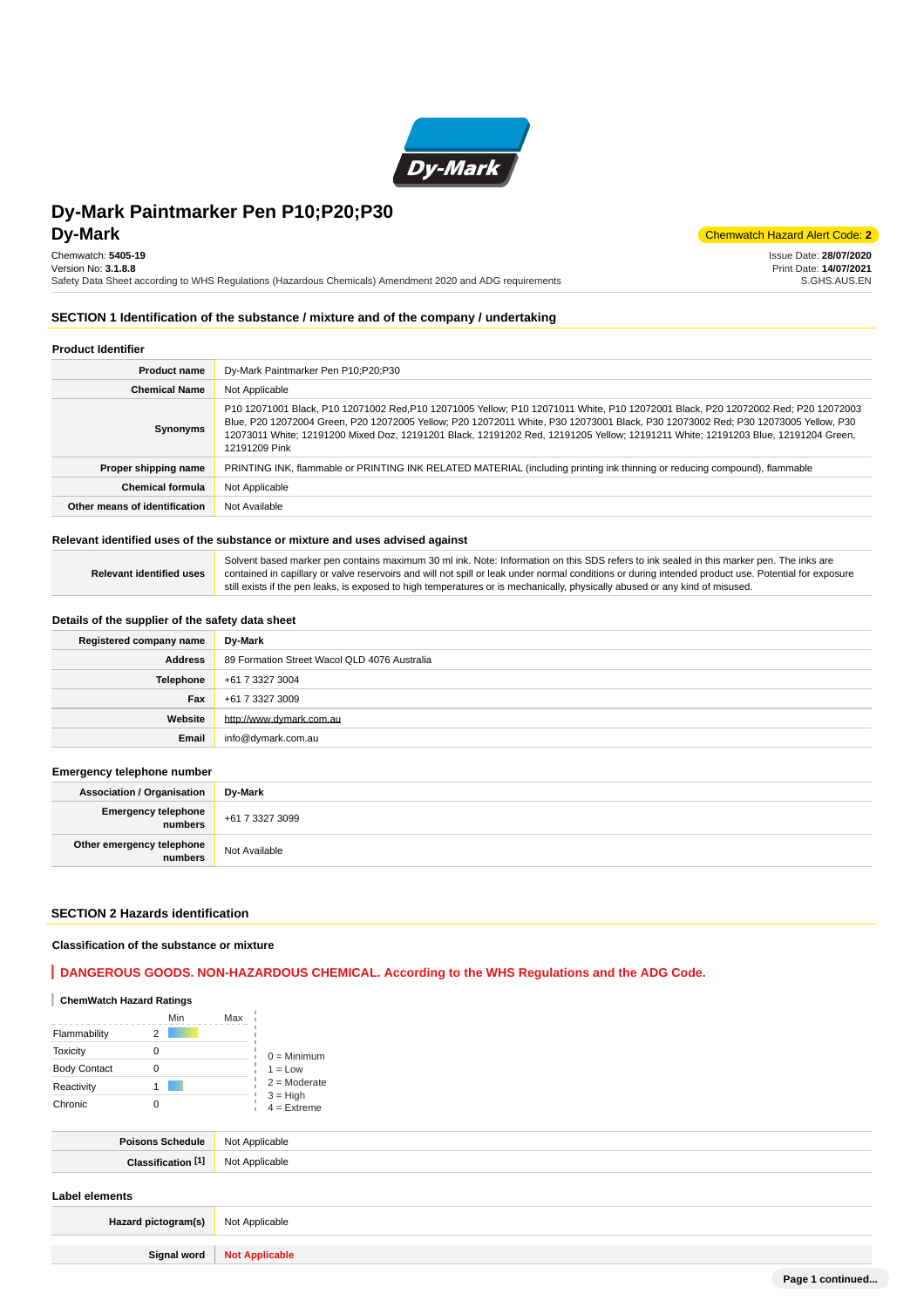

**DV-Mark** Chemwatch Hazard Alert Code: 2 Issue Date: **28/07/2020**

> Print Date: **14/07/2021** S.GHS.AUS.EN

Chemwatch: **5405-19** Version No: **3.1.8.8**

Safety Data Sheet according to WHS Regulations (Hazardous Chemicals) Amendment 2020 and ADG requirements

# **SECTION 1 Identification of the substance / mixture and of the company / undertaking**

# **Product Identifier**

| <b>Product name</b>           | Dy-Mark Paintmarker Pen P10;P20;P30                                                                                                                                                                                                                                                                                                                                                                                          |
|-------------------------------|------------------------------------------------------------------------------------------------------------------------------------------------------------------------------------------------------------------------------------------------------------------------------------------------------------------------------------------------------------------------------------------------------------------------------|
| <b>Chemical Name</b>          | Not Applicable                                                                                                                                                                                                                                                                                                                                                                                                               |
| Synonyms                      | P10 12071001 Black, P10 12071002 Red, P10 12071005 Yellow; P10 12071011 White, P10 12072001 Black, P20 12072002 Red; P20 12072003<br>Blue, P20 12072004 Green, P20 12072005 Yellow; P20 12072011 White, P30 12073001 Black, P30 12073002 Red; P30 12073005 Yellow, P30<br>12073011 White; 12191200 Mixed Doz, 12191201 Black, 12191202 Red, 12191205 Yellow; 12191211 White; 12191203 Blue, 12191204 Green,<br>12191209 Pink |
| Proper shipping name          | PRINTING INK, flammable or PRINTING INK RELATED MATERIAL (including printing ink thinning or reducing compound), flammable                                                                                                                                                                                                                                                                                                   |
| <b>Chemical formula</b>       | Not Applicable                                                                                                                                                                                                                                                                                                                                                                                                               |
| Other means of identification | Not Available                                                                                                                                                                                                                                                                                                                                                                                                                |

#### **Relevant identified uses of the substance or mixture and uses advised against**

|                                 | Solvent based marker pen contains maximum 30 ml ink. Note: Information on this SDS refers to ink sealed in this marker pen. The inks are             |
|---------------------------------|------------------------------------------------------------------------------------------------------------------------------------------------------|
| <b>Relevant identified uses</b> | contained in capillary or valve reservoirs and will not spill or leak under normal conditions or during intended product use. Potential for exposure |
|                                 | still exists if the pen leaks, is exposed to high temperatures or is mechanically, physically abused or any kind of misused.                         |

# **Details of the supplier of the safety data sheet**

| Registered company name | Dy-Mark                                      |
|-------------------------|----------------------------------------------|
| Address                 | 89 Formation Street Wacol QLD 4076 Australia |
| Telephone               | +61 7 3327 3004                              |
| Fax                     | +61 7 3327 3009                              |
| Website                 | http://www.dvmark.com.au                     |
| Email                   | info@dymark.com.au                           |

## **Emergency telephone number**

| <b>Association / Organisation</b>    | Dv-Mark         |
|--------------------------------------|-----------------|
| Emergency telephone<br>numbers       | +61 7 3327 3099 |
| Other emergency telephone<br>numbers | Not Available   |

#### **SECTION 2 Hazards identification**

#### **Classification of the substance or mixture**

# **DANGEROUS GOODS. NON-HAZARDOUS CHEMICAL. According to the WHS Regulations and the ADG Code.**

# **ChemWatch Hazard Ratings**

|                     | Min | Max |                             |
|---------------------|-----|-----|-----------------------------|
| Flammability        |     |     |                             |
| <b>Toxicity</b>     |     |     | $0 =$ Minimum               |
| <b>Body Contact</b> |     |     | $1 = Low$                   |
| Reactivity          |     |     | $2 =$ Moderate              |
| Chronic             |     |     | $3 = High$<br>$4 =$ Extreme |

| Poisons Schedule              | Not Applicable |
|-------------------------------|----------------|
| Classification <sup>[1]</sup> | Not Applicable |
| Label elements                |                |

| Hazard pictogram(s) | Not Applicable        |  |
|---------------------|-----------------------|--|
| Signal word         | <b>Not Applicable</b> |  |
|                     |                       |  |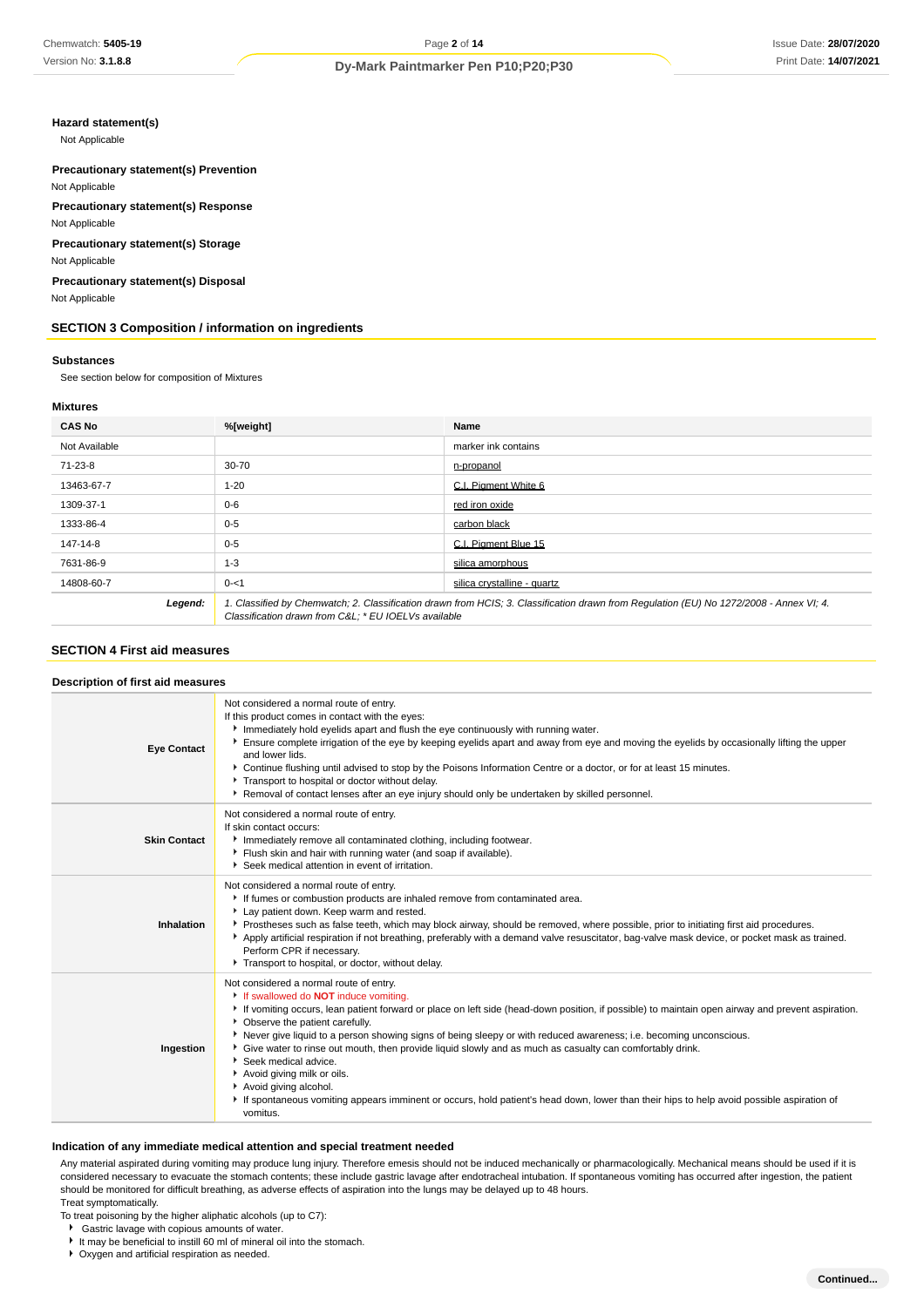# **Hazard statement(s)**

Not Applicable

## **Precautionary statement(s) Prevention** Not Applicable

**Precautionary statement(s) Response** Not Applicable

**Precautionary statement(s) Storage**

Not Applicable

**Precautionary statement(s) Disposal** Not Applicable

# **SECTION 3 Composition / information on ingredients**

#### **Substances**

See section below for composition of Mixtures

#### **Mixtures**

| <b>CAS No</b>                                                                                                                                                                                             | %[weight]<br>Name |                             |
|-----------------------------------------------------------------------------------------------------------------------------------------------------------------------------------------------------------|-------------------|-----------------------------|
| Not Available                                                                                                                                                                                             |                   | marker ink contains         |
| 71-23-8                                                                                                                                                                                                   | 30-70             | n-propanol                  |
| 13463-67-7                                                                                                                                                                                                | $1 - 20$          | C.I. Pigment White 6        |
| 1309-37-1                                                                                                                                                                                                 | $0 - 6$           | red iron oxide              |
| 1333-86-4                                                                                                                                                                                                 | $0 - 5$           | carbon black                |
| 147-14-8                                                                                                                                                                                                  | $0 - 5$           | C.I. Piament Blue 15        |
| 7631-86-9                                                                                                                                                                                                 | $1 - 3$           | silica amorphous            |
| 14808-60-7                                                                                                                                                                                                | $0 - 1$           | silica crystalline - quartz |
| Legend:<br>1. Classified by Chemwatch; 2. Classification drawn from HCIS; 3. Classification drawn from Requlation (EU) No 1272/2008 - Annex VI; 4.<br>Classification drawn from C&L * EU IOELVs available |                   |                             |

#### **SECTION 4 First aid measures**

| Description of first aid measures |  |  |
|-----------------------------------|--|--|
|                                   |  |  |

| <b>Eye Contact</b>  | Not considered a normal route of entry.<br>If this product comes in contact with the eyes:<br>Immediately hold eyelids apart and flush the eye continuously with running water.<br>Ensure complete irrigation of the eye by keeping eyelids apart and away from eye and moving the eyelids by occasionally lifting the upper<br>and lower lids.<br>▶ Continue flushing until advised to stop by the Poisons Information Centre or a doctor, or for at least 15 minutes.<br>Transport to hospital or doctor without delay.<br>▶ Removal of contact lenses after an eye injury should only be undertaken by skilled personnel.                                                                                                                               |
|---------------------|------------------------------------------------------------------------------------------------------------------------------------------------------------------------------------------------------------------------------------------------------------------------------------------------------------------------------------------------------------------------------------------------------------------------------------------------------------------------------------------------------------------------------------------------------------------------------------------------------------------------------------------------------------------------------------------------------------------------------------------------------------|
| <b>Skin Contact</b> | Not considered a normal route of entry.<br>If skin contact occurs:<br>Inmediately remove all contaminated clothing, including footwear.<br>Flush skin and hair with running water (and soap if available).<br>Seek medical attention in event of irritation.                                                                                                                                                                                                                                                                                                                                                                                                                                                                                               |
| Inhalation          | Not considered a normal route of entry.<br>If fumes or combustion products are inhaled remove from contaminated area.<br>Lay patient down. Keep warm and rested.<br>▶ Prostheses such as false teeth, which may block airway, should be removed, where possible, prior to initiating first aid procedures.<br>Apply artificial respiration if not breathing, preferably with a demand valve resuscitator, bag-valve mask device, or pocket mask as trained.<br>Perform CPR if necessary.<br>Transport to hospital, or doctor, without delay.                                                                                                                                                                                                               |
| Ingestion           | Not considered a normal route of entry.<br>If swallowed do <b>NOT</b> induce vomiting.<br>If vomiting occurs, lean patient forward or place on left side (head-down position, if possible) to maintain open airway and prevent aspiration.<br>• Observe the patient carefully.<br>▶ Never give liquid to a person showing signs of being sleepy or with reduced awareness; i.e. becoming unconscious.<br>► Give water to rinse out mouth, then provide liquid slowly and as much as casualty can comfortably drink.<br>Seek medical advice.<br>Avoid giving milk or oils.<br>Avoid giving alcohol.<br>If spontaneous vomiting appears imminent or occurs, hold patient's head down, lower than their hips to help avoid possible aspiration of<br>vomitus. |

# **Indication of any immediate medical attention and special treatment needed**

Any material aspirated during vomiting may produce lung injury. Therefore emesis should not be induced mechanically or pharmacologically. Mechanical means should be used if it is considered necessary to evacuate the stomach contents; these include gastric lavage after endotracheal intubation. If spontaneous vomiting has occurred after ingestion, the patient should be monitored for difficult breathing, as adverse effects of aspiration into the lungs may be delayed up to 48 hours. Treat symptomatically.

To treat poisoning by the higher aliphatic alcohols (up to C7):

- Gastric lavage with copious amounts of water.
- It may be beneficial to instill 60 ml of mineral oil into the stomach.

Oxygen and artificial respiration as needed.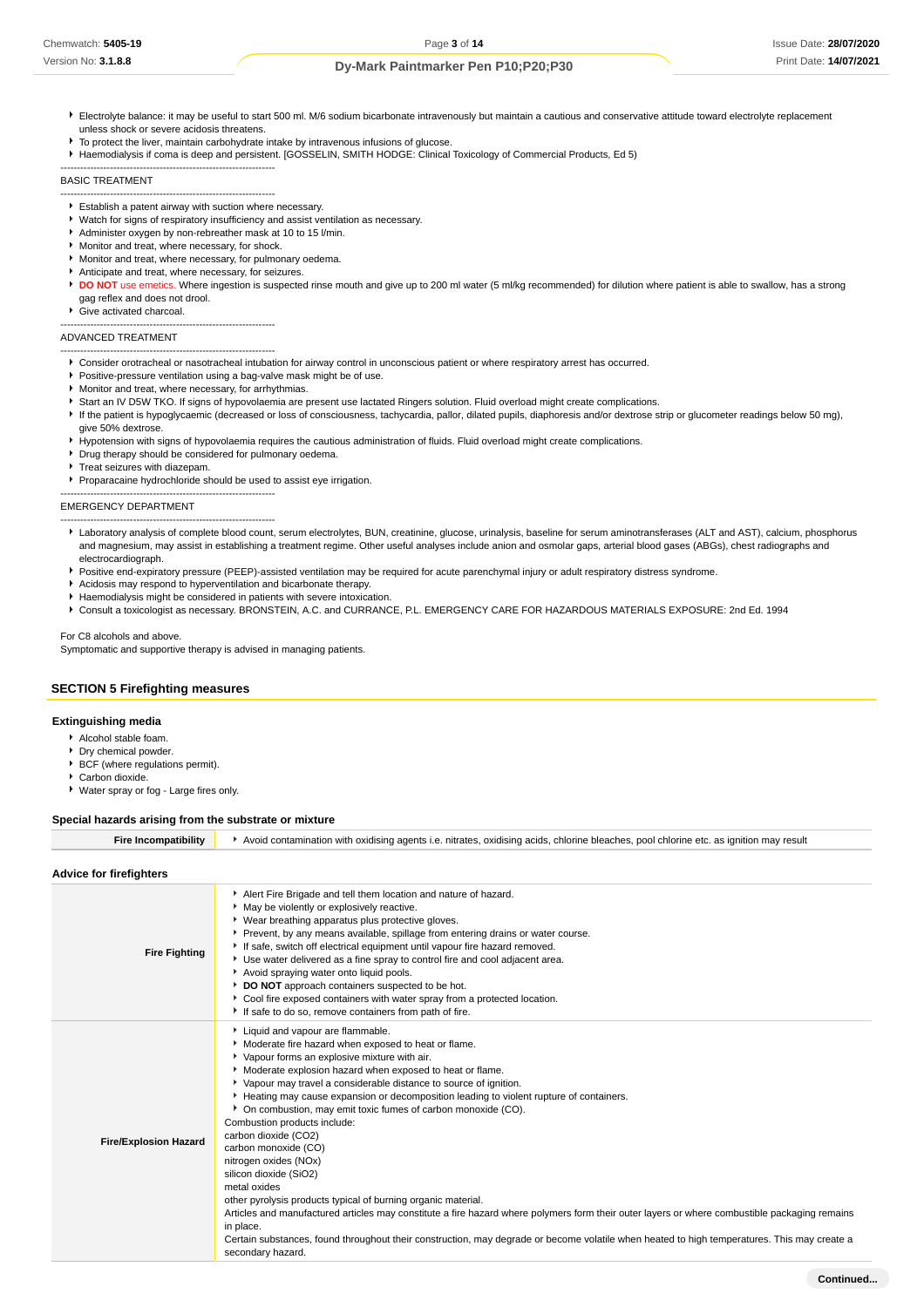- Electrolyte balance: it may be useful to start 500 ml. M/6 sodium bicarbonate intravenously but maintain a cautious and conservative attitude toward electrolyte replacement unless shock or severe acidosis threatens.
- $\blacktriangleright$  To protect the liver, maintain carbohydrate intake by intravenous infusions of glucose.
- Haemodialysis if coma is deep and persistent. [GOSSELIN, SMITH HODGE: Clinical Toxicology of Commercial Products, Ed 5)

BASIC TREATMENT

- ----------------------------------------------------------------- Establish a patent airway with suction where necessary.
- Watch for signs of respiratory insufficiency and assist ventilation as necessary.
- Administer oxygen by non-rebreather mask at 10 to 15 l/min.
- Monitor and treat, where necessary, for shock.

-----------------------------------------------------------------

-----------------------------------------------------------------

-----------------------------------------------------------------

- Monitor and treat, where necessary, for pulmonary oedema.
- Anticipate and treat, where necessary, for seizures.
- **DO NOT** use emetics. Where ingestion is suspected rinse mouth and give up to 200 ml water (5 ml/kg recommended) for dilution where patient is able to swallow, has a strong gag reflex and does not drool.
- Give activated charcoal.

#### ADVANCED TREATMENT

- ----------------------------------------------------------------- Consider orotracheal or nasotracheal intubation for airway control in unconscious patient or where respiratory arrest has occurred.
- **Positive-pressure ventilation using a bag-valve mask might be of use.**
- **Monitor and treat, where necessary, for arrhythmias.**
- Start an IV D5W TKO. If signs of hypovolaemia are present use lactated Ringers solution. Fluid overload might create complications.
- If the patient is hypoglycaemic (decreased or loss of consciousness, tachycardia, pallor, dilated pupils, diaphoresis and/or dextrose strip or glucometer readings below 50 mg), give 50% dextrose.
- Hypotension with signs of hypovolaemia requires the cautious administration of fluids. Fluid overload might create complications.
- Drug therapy should be considered for pulmonary oedema.
- Treat seizures with diazepam.
- **Proparacaine hydrochloride should be used to assist eye irrigation.**

#### ----------------------------------------------------------------- EMERGENCY DEPARTMENT

- Laboratory analysis of complete blood count, serum electrolytes, BUN, creatinine, glucose, urinalysis, baseline for serum aminotransferases (ALT and AST), calcium, phosphorus and magnesium, may assist in establishing a treatment regime. Other useful analyses include anion and osmolar gaps, arterial blood gases (ABGs), chest radiographs and electrocardiograph.
- **Positive end-expiratory pressure (PEEP)-assisted ventilation may be required for acute parenchymal injury or adult respiratory distress syndrome.**
- Acidosis may respond to hyperventilation and bicarbonate therapy.
- Haemodialysis might be considered in patients with severe intoxication.
- Consult a toxicologist as necessary. BRONSTEIN, A.C. and CURRANCE, P.L. EMERGENCY CARE FOR HAZARDOUS MATERIALS EXPOSURE: 2nd Ed. 1994

#### For C8 alcohols and above. Symptomatic and supportive therapy is advised in managing patients.

# **SECTION 5 Firefighting measures**

#### **Extinguishing media**

- Alcohol stable foam.
- **Dry chemical powder.**
- BCF (where regulations permit).
- Carbon dioxide.
- Water spray or fog Large fires only.

#### **Special hazards arising from the substrate or mixture**

Fire Incompatibility **Auction** Avoid contamination with oxidising agents i.e. nitrates, oxidising acids, chlorine bleaches, pool chlorine etc. as ignition may result

| Advice for firefighters |  |
|-------------------------|--|
|-------------------------|--|

| <b>Fire Fighting</b>         | Alert Fire Brigade and tell them location and nature of hazard.<br>• May be violently or explosively reactive.<br>• Wear breathing apparatus plus protective gloves.<br>Prevent, by any means available, spillage from entering drains or water course.<br>If safe, switch off electrical equipment until vapour fire hazard removed.<br>Use water delivered as a fine spray to control fire and cool adjacent area.<br>Avoid spraying water onto liquid pools.<br>DO NOT approach containers suspected to be hot.<br>• Cool fire exposed containers with water spray from a protected location.<br>If safe to do so, remove containers from path of fire.                                                                                                                                                                                                                                                                                                                                   |
|------------------------------|----------------------------------------------------------------------------------------------------------------------------------------------------------------------------------------------------------------------------------------------------------------------------------------------------------------------------------------------------------------------------------------------------------------------------------------------------------------------------------------------------------------------------------------------------------------------------------------------------------------------------------------------------------------------------------------------------------------------------------------------------------------------------------------------------------------------------------------------------------------------------------------------------------------------------------------------------------------------------------------------|
| <b>Fire/Explosion Hazard</b> | Liquid and vapour are flammable.<br>Moderate fire hazard when exposed to heat or flame.<br>Vapour forms an explosive mixture with air.<br>• Moderate explosion hazard when exposed to heat or flame.<br>▶ Vapour may travel a considerable distance to source of ignition.<br>Heating may cause expansion or decomposition leading to violent rupture of containers.<br>• On combustion, may emit toxic fumes of carbon monoxide (CO).<br>Combustion products include:<br>carbon dioxide (CO2)<br>carbon monoxide (CO)<br>nitrogen oxides (NOx)<br>silicon dioxide (SiO2)<br>metal oxides<br>other pyrolysis products typical of burning organic material.<br>Articles and manufactured articles may constitute a fire hazard where polymers form their outer layers or where combustible packaging remains<br>in place.<br>Certain substances, found throughout their construction, may degrade or become volatile when heated to high temperatures. This may create a<br>secondary hazard. |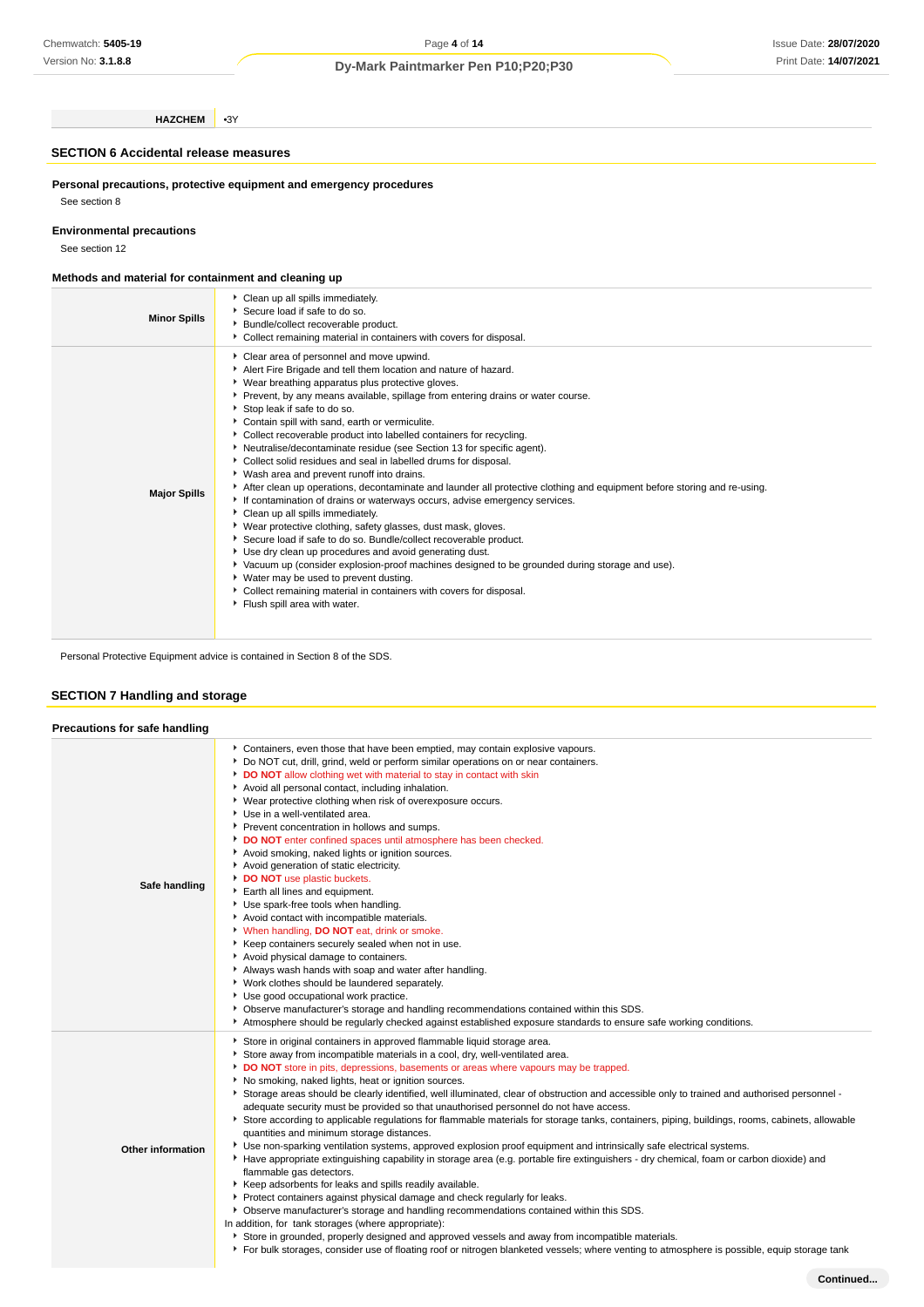# Issue Date: **28/07/2020** Print Date: **14/07/2021**

# **Dy-Mark Paintmarker Pen P10;P20;P30**

**HAZCHEM** •3Y

# **SECTION 6 Accidental release measures**

**Personal precautions, protective equipment and emergency procedures** See section 8

# **Environmental precautions**

See section 12

## **Methods and material for containment and cleaning up**

| <b>Minor Spills</b> | Clean up all spills immediately.<br>▶ Secure load if safe to do so.<br>Bundle/collect recoverable product.<br>Collect remaining material in containers with covers for disposal.                                                                                                                                                                                                                                                                                                                                                                                                                                                                                                                                                                                                                                                                                                                                                                                                                                                                                                                                                                                                                                                                                                                                |
|---------------------|-----------------------------------------------------------------------------------------------------------------------------------------------------------------------------------------------------------------------------------------------------------------------------------------------------------------------------------------------------------------------------------------------------------------------------------------------------------------------------------------------------------------------------------------------------------------------------------------------------------------------------------------------------------------------------------------------------------------------------------------------------------------------------------------------------------------------------------------------------------------------------------------------------------------------------------------------------------------------------------------------------------------------------------------------------------------------------------------------------------------------------------------------------------------------------------------------------------------------------------------------------------------------------------------------------------------|
| <b>Major Spills</b> | Clear area of personnel and move upwind.<br>Alert Fire Brigade and tell them location and nature of hazard.<br>▶ Wear breathing apparatus plus protective gloves.<br>▶ Prevent, by any means available, spillage from entering drains or water course.<br>Stop leak if safe to do so.<br>Contain spill with sand, earth or vermiculite.<br>Collect recoverable product into labelled containers for recycling.<br>• Neutralise/decontaminate residue (see Section 13 for specific agent).<br>Collect solid residues and seal in labelled drums for disposal.<br>▶ Wash area and prevent runoff into drains.<br>After clean up operations, decontaminate and launder all protective clothing and equipment before storing and re-using.<br>If contamination of drains or waterways occurs, advise emergency services.<br>Clean up all spills immediately.<br>▶ Wear protective clothing, safety glasses, dust mask, gloves.<br>Secure load if safe to do so. Bundle/collect recoverable product.<br>▶ Use dry clean up procedures and avoid generating dust.<br>▶ Vacuum up (consider explosion-proof machines designed to be grounded during storage and use).<br>▶ Water may be used to prevent dusting.<br>Collect remaining material in containers with covers for disposal.<br>Flush spill area with water. |

Personal Protective Equipment advice is contained in Section 8 of the SDS.

# **SECTION 7 Handling and storage**

| Precautions for safe handling |                                                                                                                                                                                                                                                                                                                                                                                                                                                                                                                                                                                                                                                                                                                                                                                                                                                                                                                                                                                                                                                                                                                                                                                                                                                                                                                                                                                                                                                                                                                                                                                                  |
|-------------------------------|--------------------------------------------------------------------------------------------------------------------------------------------------------------------------------------------------------------------------------------------------------------------------------------------------------------------------------------------------------------------------------------------------------------------------------------------------------------------------------------------------------------------------------------------------------------------------------------------------------------------------------------------------------------------------------------------------------------------------------------------------------------------------------------------------------------------------------------------------------------------------------------------------------------------------------------------------------------------------------------------------------------------------------------------------------------------------------------------------------------------------------------------------------------------------------------------------------------------------------------------------------------------------------------------------------------------------------------------------------------------------------------------------------------------------------------------------------------------------------------------------------------------------------------------------------------------------------------------------|
| Safe handling                 | Containers, even those that have been emptied, may contain explosive vapours.<br>▶ Do NOT cut, drill, grind, weld or perform similar operations on or near containers.<br>DO NOT allow clothing wet with material to stay in contact with skin<br>Avoid all personal contact, including inhalation.<br>• Wear protective clothing when risk of overexposure occurs.<br>Use in a well-ventilated area.<br>Prevent concentration in hollows and sumps.<br>DO NOT enter confined spaces until atmosphere has been checked.<br>Avoid smoking, naked lights or ignition sources.<br>Avoid generation of static electricity.<br>DO NOT use plastic buckets.<br>Earth all lines and equipment.<br>Use spark-free tools when handling.<br>Avoid contact with incompatible materials.<br>V When handling, DO NOT eat, drink or smoke.<br>▶ Keep containers securely sealed when not in use.<br>Avoid physical damage to containers.<br>Always wash hands with soap and water after handling.<br>• Work clothes should be laundered separately.<br>Use good occupational work practice.<br>▶ Observe manufacturer's storage and handling recommendations contained within this SDS.<br>Atmosphere should be regularly checked against established exposure standards to ensure safe working conditions.                                                                                                                                                                                                                                                                                                    |
| <b>Other information</b>      | Store in original containers in approved flammable liquid storage area.<br>Store away from incompatible materials in a cool, dry, well-ventilated area.<br>DO NOT store in pits, depressions, basements or areas where vapours may be trapped.<br>No smoking, naked lights, heat or ignition sources.<br>▶ Storage areas should be clearly identified, well illuminated, clear of obstruction and accessible only to trained and authorised personnel -<br>adequate security must be provided so that unauthorised personnel do not have access.<br>▶ Store according to applicable regulations for flammable materials for storage tanks, containers, piping, buildings, rooms, cabinets, allowable<br>quantities and minimum storage distances.<br>> Use non-sparking ventilation systems, approved explosion proof equipment and intrinsically safe electrical systems.<br>Have appropriate extinguishing capability in storage area (e.g. portable fire extinguishers - dry chemical, foam or carbon dioxide) and<br>flammable gas detectors.<br>▶ Keep adsorbents for leaks and spills readily available.<br>Protect containers against physical damage and check regularly for leaks.<br>▶ Observe manufacturer's storage and handling recommendations contained within this SDS.<br>In addition, for tank storages (where appropriate):<br>Store in grounded, properly designed and approved vessels and away from incompatible materials.<br>For bulk storages, consider use of floating roof or nitrogen blanketed vessels; where venting to atmosphere is possible, equip storage tank |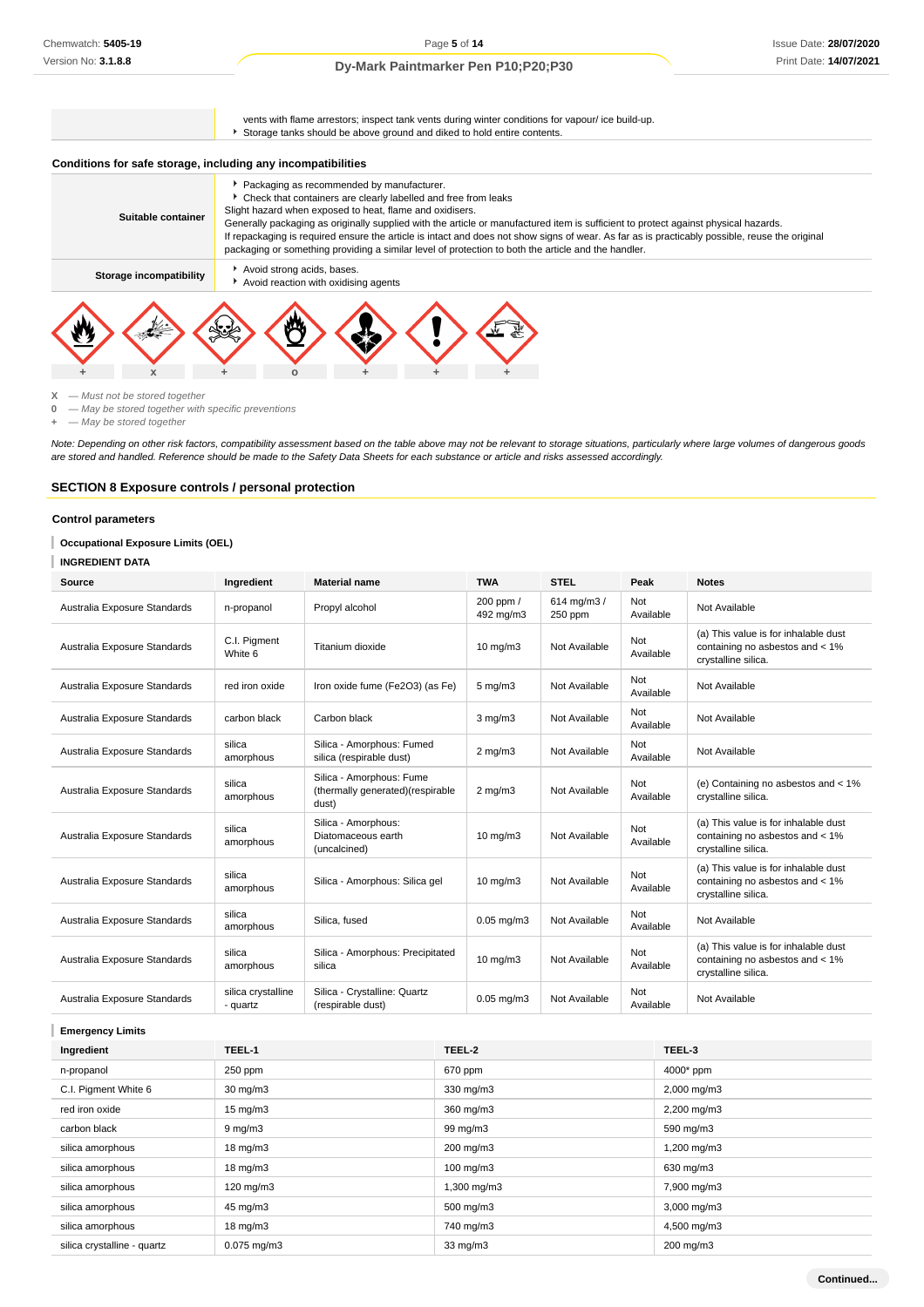vents with flame arrestors; inspect tank vents during winter conditions for vapour/ ice build-up. Storage tanks should be above ground and diked to hold entire contents.

# **Conditions for safe storage, including any incompatibilities**

| Suitable container      | Packaging as recommended by manufacturer.<br>• Check that containers are clearly labelled and free from leaks<br>Slight hazard when exposed to heat, flame and oxidisers.<br>Generally packaging as originally supplied with the article or manufactured item is sufficient to protect against physical hazards.<br>If repackaging is required ensure the article is intact and does not show signs of wear. As far as is practicably possible, reuse the original<br>packaging or something providing a similar level of protection to both the article and the handler. |
|-------------------------|---------------------------------------------------------------------------------------------------------------------------------------------------------------------------------------------------------------------------------------------------------------------------------------------------------------------------------------------------------------------------------------------------------------------------------------------------------------------------------------------------------------------------------------------------------------------------|
| Storage incompatibility | Avoid strong acids, bases.<br>Avoid reaction with oxidising agents                                                                                                                                                                                                                                                                                                                                                                                                                                                                                                        |
| X                       |                                                                                                                                                                                                                                                                                                                                                                                                                                                                                                                                                                           |



**0** — May be stored together with specific preventions

**+** — May be stored together

Note: Depending on other risk factors, compatibility assessment based on the table above may not be relevant to storage situations, particularly where large volumes of dangerous goods are stored and handled. Reference should be made to the Safety Data Sheets for each substance or article and risks assessed accordingly.

## **SECTION 8 Exposure controls / personal protection**

## **Control parameters**

ı **Occupational Exposure Limits (OEL)**

#### T **INGREDIENT DATA**

| Source                       | Ingredient                     | <b>Material name</b>                                                   | <b>TWA</b>             | <b>STEL</b>            | Peak             | <b>Notes</b>                                                                                     |
|------------------------------|--------------------------------|------------------------------------------------------------------------|------------------------|------------------------|------------------|--------------------------------------------------------------------------------------------------|
| Australia Exposure Standards | n-propanol                     | Propyl alcohol                                                         | 200 ppm /<br>492 mg/m3 | 614 mg/m3 /<br>250 ppm | Not<br>Available | Not Available                                                                                    |
| Australia Exposure Standards | C.I. Pigment<br>White 6        | Titanium dioxide                                                       | $10 \text{ mg/m}$      | Not Available          | Not<br>Available | (a) This value is for inhalable dust<br>containing no asbestos and < 1%<br>crystalline silica.   |
| Australia Exposure Standards | red iron oxide                 | Iron oxide fume (Fe2O3) (as Fe)                                        | $5 \text{ mg/m}$       | Not Available          | Not<br>Available | Not Available                                                                                    |
| Australia Exposure Standards | carbon black                   | Carbon black                                                           | $3 \text{ mg/m}$       | Not Available          | Not<br>Available | Not Available                                                                                    |
| Australia Exposure Standards | silica<br>amorphous            | Silica - Amorphous: Fumed<br>silica (respirable dust)                  | $2$ mg/m $3$           | Not Available          | Not<br>Available | Not Available                                                                                    |
| Australia Exposure Standards | silica<br>amorphous            | Silica - Amorphous: Fume<br>(thermally generated) (respirable<br>dust) | $2 \text{ mg/m}$       | Not Available          | Not<br>Available | (e) Containing no asbestos and < 1%<br>crystalline silica.                                       |
| Australia Exposure Standards | silica<br>amorphous            | Silica - Amorphous:<br>Diatomaceous earth<br>(uncalcined)              | $10 \text{ mg/m}$      | Not Available          | Not<br>Available | (a) This value is for inhalable dust<br>containing no asbestos and < 1%<br>crystalline silica.   |
| Australia Exposure Standards | silica<br>amorphous            | Silica - Amorphous: Silica gel                                         | $10 \text{ mg/m}$      | Not Available          | Not<br>Available | (a) This value is for inhalable dust<br>containing no asbestos and < 1%<br>crystalline silica.   |
| Australia Exposure Standards | silica<br>amorphous            | Silica, fused                                                          | $0.05$ mg/m $3$        | Not Available          | Not<br>Available | Not Available                                                                                    |
| Australia Exposure Standards | silica<br>amorphous            | Silica - Amorphous: Precipitated<br>silica                             | $10 \text{ mg/m}$      | Not Available          | Not<br>Available | (a) This value is for inhalable dust<br>containing no asbestos and $<$ 1%<br>crystalline silica. |
| Australia Exposure Standards | silica crystalline<br>- quartz | Silica - Crystalline: Quartz<br>(respirable dust)                      | $0.05$ mg/m $3$        | Not Available          | Not<br>Available | Not Available                                                                                    |

**Emergency Limits**

| Ingredient                  | TEEL-1             | TEEL-2               | TEEL-3                  |
|-----------------------------|--------------------|----------------------|-------------------------|
| n-propanol                  | 250 ppm            | 670 ppm              | 4000* ppm               |
| C.I. Pigment White 6        | $30 \text{ mg/m}$  | 330 mg/m3            | $2,000 \text{ mg/m}$ 3  |
| red iron oxide              | $15 \text{ mg/m}$  | 360 mg/m3            | $2,200$ mg/m $3$        |
| carbon black                | $9 \text{ mg/m}$   | 99 mg/m3             | 590 mg/m3               |
| silica amorphous            | $18 \text{ mg/m}$  | 200 mg/m3            | 1,200 mg/m3             |
| silica amorphous            | $18 \text{ mg/m}$  | $100 \text{ mg/m}$ 3 | 630 mg/m3               |
| silica amorphous            | $120 \text{ mg/m}$ | 1,300 mg/m3          | 7,900 mg/m3             |
| silica amorphous            | 45 mg/m3           | 500 mg/m3            | $3,000 \,\mathrm{mg/m}$ |
| silica amorphous            | $18 \text{ mg/m}$  | 740 mg/m3            | 4,500 mg/m3             |
| silica crystalline - quartz | $0.075$ mg/m $3$   | $33 \text{ mg/m}$    | 200 mg/m3               |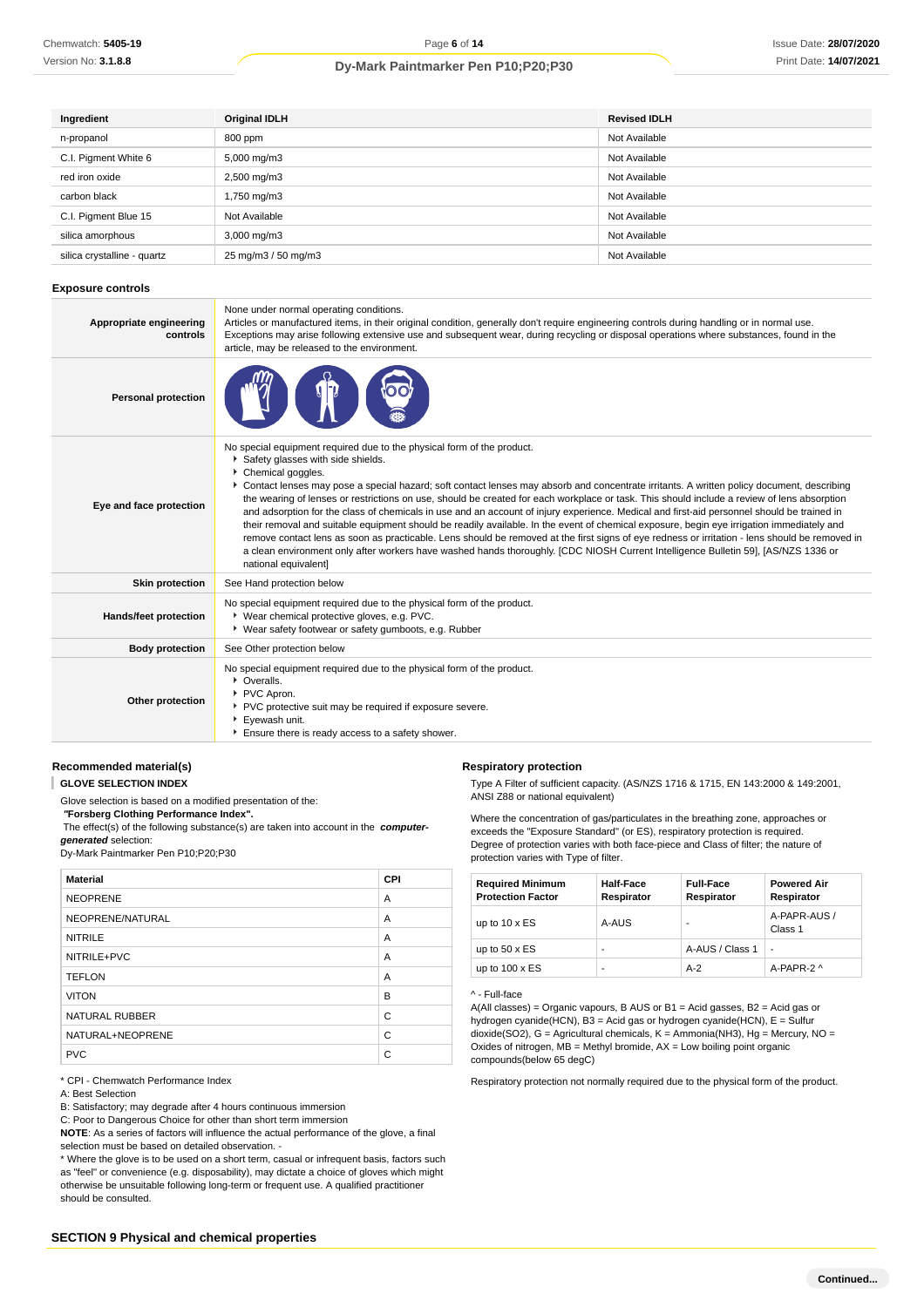| Ingredient                  | <b>Original IDLH</b>    | <b>Revised IDLH</b> |
|-----------------------------|-------------------------|---------------------|
| n-propanol                  | 800 ppm                 | Not Available       |
| C.I. Pigment White 6        | 5,000 mg/m3             | Not Available       |
| red iron oxide              | 2,500 mg/m3             | Not Available       |
| carbon black                | 1,750 mg/m3             | Not Available       |
| C.I. Pigment Blue 15        | Not Available           | Not Available       |
| silica amorphous            | $3,000 \,\mathrm{mg/m}$ | Not Available       |
| silica crystalline - quartz | 25 mg/m3 / 50 mg/m3     | Not Available       |

#### **Exposure controls**

| Appropriate engineering<br>controls | None under normal operating conditions.<br>Articles or manufactured items, in their original condition, generally don't require engineering controls during handling or in normal use.<br>Exceptions may arise following extensive use and subsequent wear, during recycling or disposal operations where substances, found in the<br>article, may be released to the environment.                                                                                                                                                                                                                                                                                                                                                                                                                                                                                                                                                                                                                                                        |
|-------------------------------------|-------------------------------------------------------------------------------------------------------------------------------------------------------------------------------------------------------------------------------------------------------------------------------------------------------------------------------------------------------------------------------------------------------------------------------------------------------------------------------------------------------------------------------------------------------------------------------------------------------------------------------------------------------------------------------------------------------------------------------------------------------------------------------------------------------------------------------------------------------------------------------------------------------------------------------------------------------------------------------------------------------------------------------------------|
| <b>Personal protection</b>          |                                                                                                                                                                                                                                                                                                                                                                                                                                                                                                                                                                                                                                                                                                                                                                                                                                                                                                                                                                                                                                           |
| Eye and face protection             | No special equipment required due to the physical form of the product.<br>Safety glasses with side shields.<br>Chemical goggles.<br>▶ Contact lenses may pose a special hazard; soft contact lenses may absorb and concentrate irritants. A written policy document, describing<br>the wearing of lenses or restrictions on use, should be created for each workplace or task. This should include a review of lens absorption<br>and adsorption for the class of chemicals in use and an account of injury experience. Medical and first-aid personnel should be trained in<br>their removal and suitable equipment should be readily available. In the event of chemical exposure, begin eye irrigation immediately and<br>remove contact lens as soon as practicable. Lens should be removed at the first signs of eye redness or irritation - lens should be removed in<br>a clean environment only after workers have washed hands thoroughly. [CDC NIOSH Current Intelligence Bulletin 59], [AS/NZS 1336 or<br>national equivalent] |
| <b>Skin protection</b>              | See Hand protection below                                                                                                                                                                                                                                                                                                                                                                                                                                                                                                                                                                                                                                                                                                                                                                                                                                                                                                                                                                                                                 |
| Hands/feet protection               | No special equipment required due to the physical form of the product.<br>* Wear chemical protective gloves, e.g. PVC.<br>• Wear safety footwear or safety gumboots, e.g. Rubber                                                                                                                                                                                                                                                                                                                                                                                                                                                                                                                                                                                                                                                                                                                                                                                                                                                          |
| <b>Body protection</b>              | See Other protection below                                                                                                                                                                                                                                                                                                                                                                                                                                                                                                                                                                                                                                                                                                                                                                                                                                                                                                                                                                                                                |
| Other protection                    | No special equipment required due to the physical form of the product.<br>• Overalls.<br>PVC Apron.<br>PVC protective suit may be required if exposure severe.<br>Eyewash unit.<br>Ensure there is ready access to a safety shower.                                                                                                                                                                                                                                                                                                                                                                                                                                                                                                                                                                                                                                                                                                                                                                                                       |

## **Recommended material(s)**

**GLOVE SELECTION INDEX**

Glove selection is based on a modified presentation of the:

 **"Forsberg Clothing Performance Index".** The effect(s) of the following substance(s) are taken into account in the **computergenerated** selection:

Dy-Mark Paintmarker Pen P10;P20;P30

| <b>Material</b>       | <b>CPI</b> |
|-----------------------|------------|
| <b>NEOPRENE</b>       | A          |
| NEOPRENE/NATURAL      | A          |
| <b>NITRILE</b>        | A          |
| NITRILE+PVC           | A          |
| <b>TEFLON</b>         | A          |
| <b>VITON</b>          | B          |
| <b>NATURAL RUBBER</b> | C          |
| NATURAL+NEOPRENE      | C          |
| <b>PVC</b>            | C          |

\* CPI - Chemwatch Performance Index

A: Best Selection

B: Satisfactory; may degrade after 4 hours continuous immersion

C: Poor to Dangerous Choice for other than short term immersion

**NOTE**: As a series of factors will influence the actual performance of the glove, a final selection must be based on detailed observation. -

\* Where the glove is to be used on a short term, casual or infrequent basis, factors such as "feel" or convenience (e.g. disposability), may dictate a choice of gloves which might otherwise be unsuitable following long-term or frequent use. A qualified practitioner should be consulted.

#### **Respiratory protection**

Type A Filter of sufficient capacity. (AS/NZS 1716 & 1715, EN 143:2000 & 149:2001, ANSI Z88 or national equivalent)

Where the concentration of gas/particulates in the breathing zone, approaches or exceeds the "Exposure Standard" (or ES), respiratory protection is required. Degree of protection varies with both face-piece and Class of filter; the nature of protection varies with Type of filter.

| <b>Required Minimum</b><br><b>Protection Factor</b> | <b>Half-Face</b><br>Respirator | <b>Full-Face</b><br>Respirator | <b>Powered Air</b><br>Respirator |
|-----------------------------------------------------|--------------------------------|--------------------------------|----------------------------------|
| up to $10 \times ES$                                | A-AUS                          |                                | A-PAPR-AUS /<br>Class 1          |
| up to $50 \times ES$                                | -                              | A-AUS / Class 1                | ٠                                |
| up to $100 \times ES$                               | -                              | $A-2$                          | A-PAPR-2 ^                       |

^ - Full-face

A(All classes) = Organic vapours, B AUS or B1 = Acid gasses, B2 = Acid gas or hydrogen cyanide(HCN), B3 = Acid gas or hydrogen cyanide(HCN), E = Sulfur dioxide(SO2), G = Agricultural chemicals, K = Ammonia(NH3), Hg = Mercury, NO = Oxides of nitrogen,  $MB =$  Methyl bromide,  $AX =$  Low boiling point organic compounds(below 65 degC)

Respiratory protection not normally required due to the physical form of the product.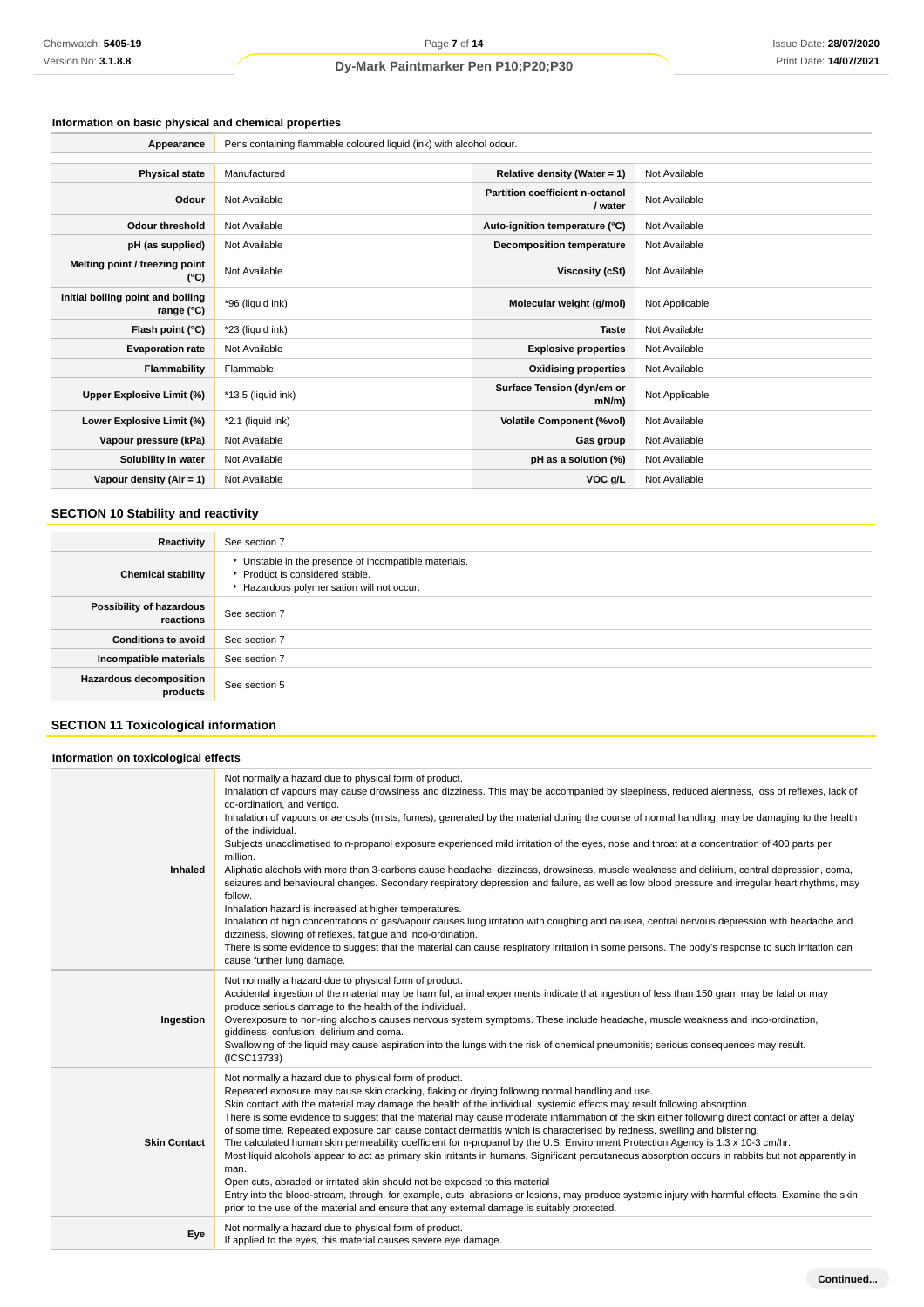# **Information on basic physical and chemical properties**

| Appearance                                      | Pens containing flammable coloured liquid (ink) with alcohol odour. |                                            |                |
|-------------------------------------------------|---------------------------------------------------------------------|--------------------------------------------|----------------|
|                                                 |                                                                     |                                            |                |
| <b>Physical state</b>                           | Manufactured                                                        | Relative density (Water = 1)               | Not Available  |
| Odour                                           | Not Available                                                       | Partition coefficient n-octanol<br>/ water | Not Available  |
| <b>Odour threshold</b>                          | Not Available                                                       | Auto-ignition temperature (°C)             | Not Available  |
| pH (as supplied)                                | Not Available                                                       | Decomposition temperature                  | Not Available  |
| Melting point / freezing point<br>(°C)          | Not Available                                                       | Viscosity (cSt)                            | Not Available  |
| Initial boiling point and boiling<br>range (°C) | *96 (liquid ink)                                                    | Molecular weight (g/mol)                   | Not Applicable |
| Flash point (°C)                                | *23 (liquid ink)                                                    | <b>Taste</b>                               | Not Available  |
| <b>Evaporation rate</b>                         | Not Available                                                       | <b>Explosive properties</b>                | Not Available  |
| Flammability                                    | Flammable.                                                          | <b>Oxidising properties</b>                | Not Available  |
| Upper Explosive Limit (%)                       | *13.5 (liquid ink)                                                  | Surface Tension (dyn/cm or<br>$mN/m$ )     | Not Applicable |
| Lower Explosive Limit (%)                       | *2.1 (liquid ink)                                                   | <b>Volatile Component (%vol)</b>           | Not Available  |
| Vapour pressure (kPa)                           | Not Available                                                       | Gas group                                  | Not Available  |
| Solubility in water                             | Not Available                                                       | pH as a solution (%)                       | Not Available  |
| Vapour density (Air = 1)                        | Not Available                                                       | VOC g/L                                    | Not Available  |

# **SECTION 10 Stability and reactivity**

| Reactivity                                 | See section 7                                                                                                                        |
|--------------------------------------------|--------------------------------------------------------------------------------------------------------------------------------------|
| <b>Chemical stability</b>                  | • Unstable in the presence of incompatible materials.<br>▶ Product is considered stable.<br>Hazardous polymerisation will not occur. |
| Possibility of hazardous<br>reactions      | See section 7                                                                                                                        |
| <b>Conditions to avoid</b>                 | See section 7                                                                                                                        |
| Incompatible materials                     | See section 7                                                                                                                        |
| <b>Hazardous decomposition</b><br>products | See section 5                                                                                                                        |

# **SECTION 11 Toxicological information**

# **Information on toxicological effects**

| Inhaled             | Not normally a hazard due to physical form of product.<br>Inhalation of vapours may cause drowsiness and dizziness. This may be accompanied by sleepiness, reduced alertness, loss of reflexes, lack of<br>co-ordination, and vertigo.<br>Inhalation of vapours or aerosols (mists, fumes), generated by the material during the course of normal handling, may be damaging to the health<br>of the individual.<br>Subjects unacclimatised to n-propanol exposure experienced mild irritation of the eyes, nose and throat at a concentration of 400 parts per<br>million.<br>Aliphatic alcohols with more than 3-carbons cause headache, dizziness, drowsiness, muscle weakness and delirium, central depression, coma,<br>seizures and behavioural changes. Secondary respiratory depression and failure, as well as low blood pressure and irregular heart rhythms, may<br>follow.<br>Inhalation hazard is increased at higher temperatures.<br>Inhalation of high concentrations of gas/vapour causes lung irritation with coughing and nausea, central nervous depression with headache and<br>dizziness, slowing of reflexes, fatigue and inco-ordination.<br>There is some evidence to suggest that the material can cause respiratory irritation in some persons. The body's response to such irritation can<br>cause further lung damage. |
|---------------------|----------------------------------------------------------------------------------------------------------------------------------------------------------------------------------------------------------------------------------------------------------------------------------------------------------------------------------------------------------------------------------------------------------------------------------------------------------------------------------------------------------------------------------------------------------------------------------------------------------------------------------------------------------------------------------------------------------------------------------------------------------------------------------------------------------------------------------------------------------------------------------------------------------------------------------------------------------------------------------------------------------------------------------------------------------------------------------------------------------------------------------------------------------------------------------------------------------------------------------------------------------------------------------------------------------------------------------------------------|
| Ingestion           | Not normally a hazard due to physical form of product.<br>Accidental ingestion of the material may be harmful; animal experiments indicate that ingestion of less than 150 gram may be fatal or may<br>produce serious damage to the health of the individual.<br>Overexposure to non-ring alcohols causes nervous system symptoms. These include headache, muscle weakness and inco-ordination,<br>giddiness, confusion, delirium and coma.<br>Swallowing of the liquid may cause aspiration into the lungs with the risk of chemical pneumonitis; serious consequences may result.<br>(ICSC13733)                                                                                                                                                                                                                                                                                                                                                                                                                                                                                                                                                                                                                                                                                                                                                |
| <b>Skin Contact</b> | Not normally a hazard due to physical form of product.<br>Repeated exposure may cause skin cracking, flaking or drying following normal handling and use.<br>Skin contact with the material may damage the health of the individual; systemic effects may result following absorption.<br>There is some evidence to suggest that the material may cause moderate inflammation of the skin either following direct contact or after a delay<br>of some time. Repeated exposure can cause contact dermatitis which is characterised by redness, swelling and blistering.<br>The calculated human skin permeability coefficient for n-propanol by the U.S. Environment Protection Agency is 1.3 x 10-3 cm/hr.<br>Most liquid alcohols appear to act as primary skin irritants in humans. Significant percutaneous absorption occurs in rabbits but not apparently in<br>man.<br>Open cuts, abraded or irritated skin should not be exposed to this material<br>Entry into the blood-stream, through, for example, cuts, abrasions or lesions, may produce systemic injury with harmful effects. Examine the skin<br>prior to the use of the material and ensure that any external damage is suitably protected.                                                                                                                                       |
| Eye                 | Not normally a hazard due to physical form of product.<br>If applied to the eyes, this material causes severe eye damage.                                                                                                                                                                                                                                                                                                                                                                                                                                                                                                                                                                                                                                                                                                                                                                                                                                                                                                                                                                                                                                                                                                                                                                                                                          |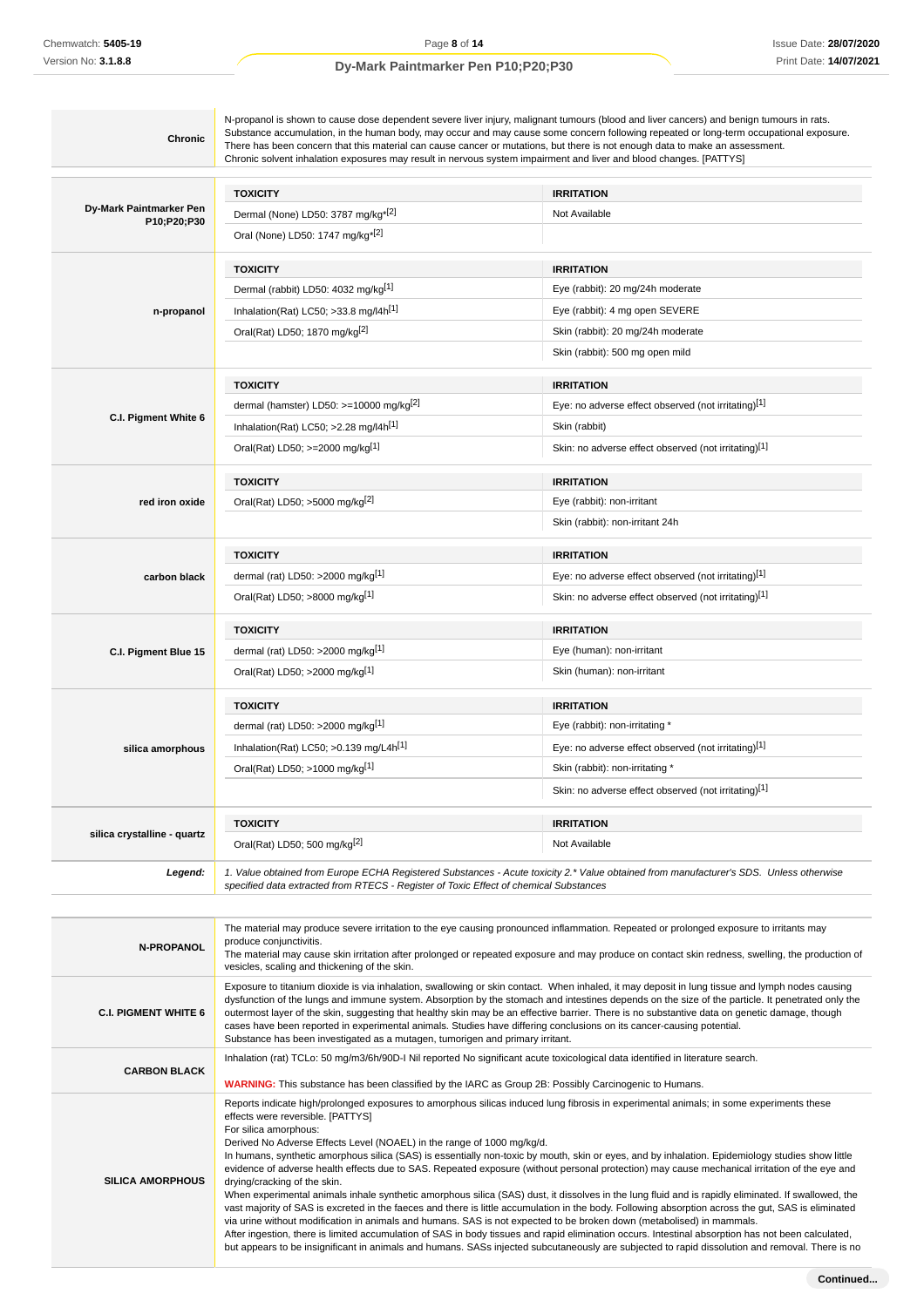| <b>Chronic</b>              | Substance accumulation, in the human body, may occur and may cause some concern following repeated or long-term occupational exposure.<br>There has been concern that this material can cause cancer or mutations, but there is not enough data to make an assessment.<br>Chronic solvent inhalation exposures may result in nervous system impairment and liver and blood changes. [PATTYS] |                                                                                                                                        |  |
|-----------------------------|----------------------------------------------------------------------------------------------------------------------------------------------------------------------------------------------------------------------------------------------------------------------------------------------------------------------------------------------------------------------------------------------|----------------------------------------------------------------------------------------------------------------------------------------|--|
|                             | <b>TOXICITY</b>                                                                                                                                                                                                                                                                                                                                                                              | <b>IRRITATION</b>                                                                                                                      |  |
| Dy-Mark Paintmarker Pen     | Dermal (None) LD50: 3787 mg/kg <sup>*[2]</sup>                                                                                                                                                                                                                                                                                                                                               | Not Available                                                                                                                          |  |
| P10;P20;P30                 | Oral (None) LD50: 1747 mg/kg <sup>*[2]</sup>                                                                                                                                                                                                                                                                                                                                                 |                                                                                                                                        |  |
|                             | <b>TOXICITY</b>                                                                                                                                                                                                                                                                                                                                                                              | <b>IRRITATION</b>                                                                                                                      |  |
|                             | Dermal (rabbit) LD50: 4032 mg/kg <sup>[1]</sup>                                                                                                                                                                                                                                                                                                                                              | Eye (rabbit): 20 mg/24h moderate                                                                                                       |  |
| n-propanol                  | Inhalation(Rat) LC50; $>33.8$ mg/l4h <sup>[1]</sup>                                                                                                                                                                                                                                                                                                                                          | Eye (rabbit): 4 mg open SEVERE                                                                                                         |  |
|                             | Oral(Rat) LD50; 1870 mg/kg[2]                                                                                                                                                                                                                                                                                                                                                                | Skin (rabbit): 20 mg/24h moderate                                                                                                      |  |
|                             |                                                                                                                                                                                                                                                                                                                                                                                              | Skin (rabbit): 500 mg open mild                                                                                                        |  |
|                             | <b>TOXICITY</b>                                                                                                                                                                                                                                                                                                                                                                              | <b>IRRITATION</b>                                                                                                                      |  |
|                             | dermal (hamster) LD50: >=10000 mg/kg <sup>[2]</sup>                                                                                                                                                                                                                                                                                                                                          | Eye: no adverse effect observed (not irritating)[1]                                                                                    |  |
| C.I. Pigment White 6        | Inhalation(Rat) LC50; >2.28 mg/l4h <sup>[1]</sup>                                                                                                                                                                                                                                                                                                                                            | Skin (rabbit)                                                                                                                          |  |
|                             | Oral(Rat) LD50; >=2000 mg/kg[1]                                                                                                                                                                                                                                                                                                                                                              | Skin: no adverse effect observed (not irritating)[1]                                                                                   |  |
|                             | <b>TOXICITY</b>                                                                                                                                                                                                                                                                                                                                                                              | <b>IRRITATION</b>                                                                                                                      |  |
| red iron oxide              | Oral(Rat) LD50; >5000 mg/kg <sup>[2]</sup>                                                                                                                                                                                                                                                                                                                                                   | Eye (rabbit): non-irritant                                                                                                             |  |
|                             |                                                                                                                                                                                                                                                                                                                                                                                              | Skin (rabbit): non-irritant 24h                                                                                                        |  |
|                             | <b>TOXICITY</b>                                                                                                                                                                                                                                                                                                                                                                              | <b>IRRITATION</b>                                                                                                                      |  |
| carbon black                | dermal (rat) LD50: >2000 mg/kg <sup>[1]</sup>                                                                                                                                                                                                                                                                                                                                                | Eye: no adverse effect observed (not irritating)[1]                                                                                    |  |
|                             | Oral(Rat) LD50; >8000 mg/kg[1]                                                                                                                                                                                                                                                                                                                                                               | Skin: no adverse effect observed (not irritating)[1]                                                                                   |  |
|                             | <b>TOXICITY</b>                                                                                                                                                                                                                                                                                                                                                                              | <b>IRRITATION</b>                                                                                                                      |  |
| C.I. Pigment Blue 15        | dermal (rat) LD50: >2000 mg/kg <sup>[1]</sup>                                                                                                                                                                                                                                                                                                                                                | Eye (human): non-irritant                                                                                                              |  |
|                             | Oral(Rat) LD50; >2000 mg/kg[1]                                                                                                                                                                                                                                                                                                                                                               | Skin (human): non-irritant                                                                                                             |  |
|                             | <b>TOXICITY</b>                                                                                                                                                                                                                                                                                                                                                                              | <b>IRRITATION</b>                                                                                                                      |  |
|                             | dermal (rat) LD50: >2000 mg/kg $[1]$                                                                                                                                                                                                                                                                                                                                                         | Eye (rabbit): non-irritating *                                                                                                         |  |
| silica amorphous            | Inhalation(Rat) LC50; $>0.139$ mg/L4h <sup>[1]</sup>                                                                                                                                                                                                                                                                                                                                         | Eye: no adverse effect observed (not irritating)[1]                                                                                    |  |
|                             | Oral(Rat) LD50; >1000 mg/kg[1]                                                                                                                                                                                                                                                                                                                                                               | Skin (rabbit): non-irritating *                                                                                                        |  |
|                             |                                                                                                                                                                                                                                                                                                                                                                                              | Skin: no adverse effect observed (not irritating)[1]                                                                                   |  |
|                             | <b>TOXICITY</b>                                                                                                                                                                                                                                                                                                                                                                              | <b>IRRITATION</b>                                                                                                                      |  |
| silica crystalline - quartz | Oral(Rat) LD50; 500 mg/kg <sup>[2]</sup>                                                                                                                                                                                                                                                                                                                                                     | Not Available                                                                                                                          |  |
| Legend:                     |                                                                                                                                                                                                                                                                                                                                                                                              | 1. Value obtained from Europe ECHA Registered Substances - Acute toxicity 2.* Value obtained from manufacturer's SDS. Unless otherwise |  |

| <b>N-PROPANOL</b>           | The material may produce severe irritation to the eye causing pronounced inflammation. Repeated or prolonged exposure to irritants may<br>produce conjunctivitis.<br>The material may cause skin irritation after prolonged or repeated exposure and may produce on contact skin redness, swelling, the production of<br>vesicles, scaling and thickening of the skin.                                                                                                                                                                                                                                                                                                                                                                                                                                                                                                                                                                                                                                                                                                                                                                                                                                                                                                                                                                                               |
|-----------------------------|----------------------------------------------------------------------------------------------------------------------------------------------------------------------------------------------------------------------------------------------------------------------------------------------------------------------------------------------------------------------------------------------------------------------------------------------------------------------------------------------------------------------------------------------------------------------------------------------------------------------------------------------------------------------------------------------------------------------------------------------------------------------------------------------------------------------------------------------------------------------------------------------------------------------------------------------------------------------------------------------------------------------------------------------------------------------------------------------------------------------------------------------------------------------------------------------------------------------------------------------------------------------------------------------------------------------------------------------------------------------|
| <b>C.I. PIGMENT WHITE 6</b> | Exposure to titanium dioxide is via inhalation, swallowing or skin contact. When inhaled, it may deposit in lung tissue and lymph nodes causing<br>dysfunction of the lungs and immune system. Absorption by the stomach and intestines depends on the size of the particle. It penetrated only the<br>outermost layer of the skin, suggesting that healthy skin may be an effective barrier. There is no substantive data on genetic damage, though<br>cases have been reported in experimental animals. Studies have differing conclusions on its cancer-causing potential.<br>Substance has been investigated as a mutagen, tumorigen and primary irritant.                                                                                                                                                                                                                                                                                                                                                                                                                                                                                                                                                                                                                                                                                                       |
| <b>CARBON BLACK</b>         | Inhalation (rat) TCLo: 50 mg/m3/6h/90D-I Nil reported No significant acute toxicological data identified in literature search.<br><b>WARNING:</b> This substance has been classified by the IARC as Group 2B: Possibly Carcinogenic to Humans.                                                                                                                                                                                                                                                                                                                                                                                                                                                                                                                                                                                                                                                                                                                                                                                                                                                                                                                                                                                                                                                                                                                       |
| <b>SILICA AMORPHOUS</b>     | Reports indicate high/prolonged exposures to amorphous silicas induced lung fibrosis in experimental animals; in some experiments these<br>effects were reversible. [PATTYS]<br>For silica amorphous:<br>Derived No Adverse Effects Level (NOAEL) in the range of 1000 mg/kg/d.<br>In humans, synthetic amorphous silica (SAS) is essentially non-toxic by mouth, skin or eyes, and by inhalation. Epidemiology studies show little<br>evidence of adverse health effects due to SAS. Repeated exposure (without personal protection) may cause mechanical irritation of the eye and<br>drying/cracking of the skin.<br>When experimental animals inhale synthetic amorphous silica (SAS) dust, it dissolves in the lung fluid and is rapidly eliminated. If swallowed, the<br>vast majority of SAS is excreted in the faeces and there is little accumulation in the body. Following absorption across the gut, SAS is eliminated<br>via urine without modification in animals and humans. SAS is not expected to be broken down (metabolised) in mammals.<br>After ingestion, there is limited accumulation of SAS in body tissues and rapid elimination occurs. Intestinal absorption has not been calculated,<br>but appears to be insignificant in animals and humans. SASs injected subcutaneously are subjected to rapid dissolution and removal. There is no |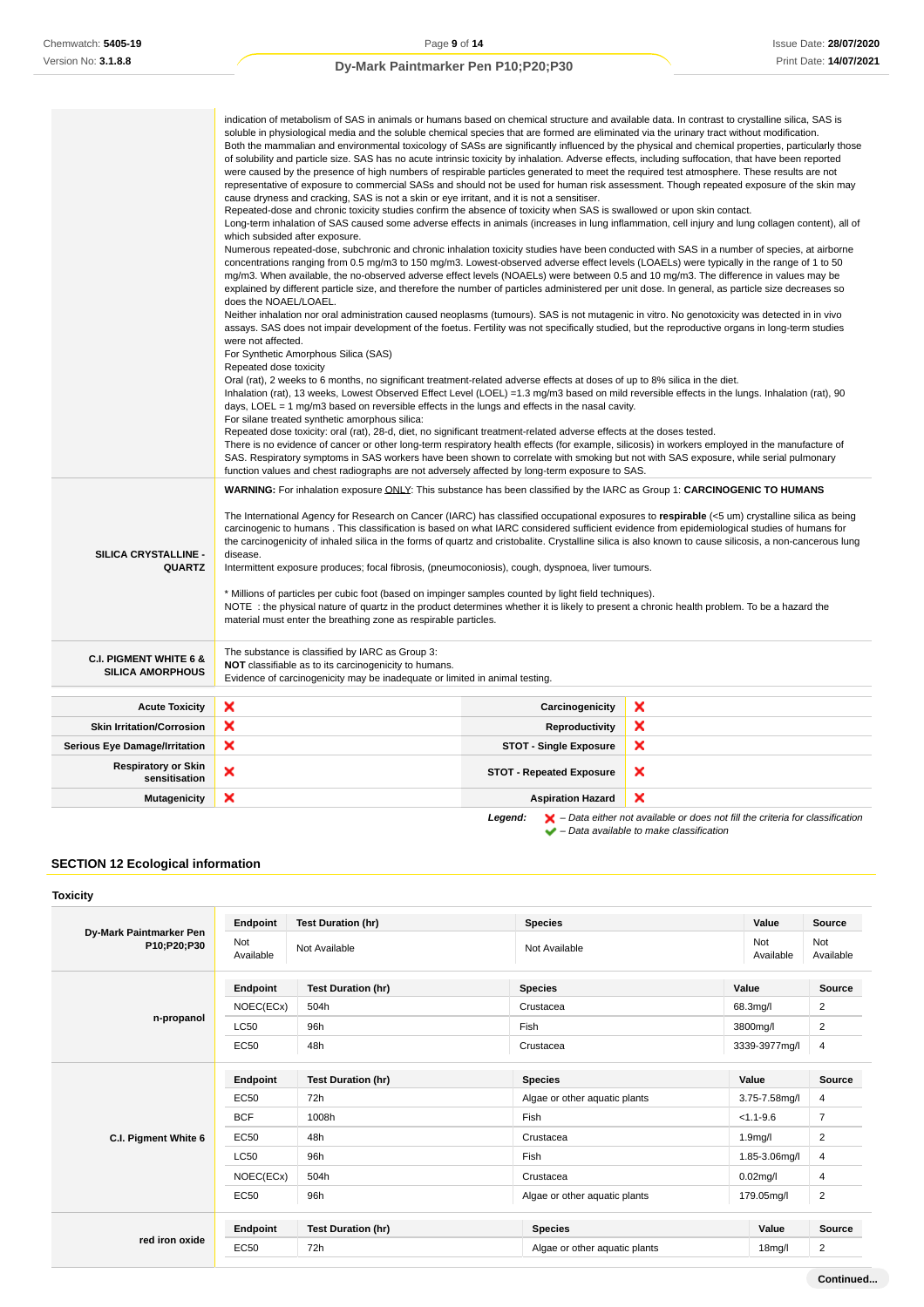| WARNING: For inhalation exposure ONLY: This substance has been classified by the IARC as Group 1: CARCINOGENIC TO HUMANS<br>The International Agency for Research on Cancer (IARC) has classified occupational exposures to respirable (<5 um) crystalline silica as being<br>carcinogenic to humans. This classification is based on what IARC considered sufficient evidence from epidemiological studies of humans for<br>the carcinogenicity of inhaled silica in the forms of quartz and cristobalite. Crystalline silica is also known to cause silicosis, a non-cancerous lung<br>SILICA CRYSTALLINE -<br>disease.<br><b>QUARTZ</b><br>Intermittent exposure produces; focal fibrosis, (pneumoconiosis), cough, dyspnoea, liver tumours.<br>* Millions of particles per cubic foot (based on impinger samples counted by light field techniques).<br>NOTE: the physical nature of quartz in the product determines whether it is likely to present a chronic health problem. To be a hazard the<br>material must enter the breathing zone as respirable particles.<br>The substance is classified by IARC as Group 3:<br><b>C.I. PIGMENT WHITE 6 &amp;</b><br>NOT classifiable as to its carcinogenicity to humans.<br><b>SILICA AMORPHOUS</b><br>Evidence of carcinogenicity may be inadequate or limited in animal testing.<br>×<br>×<br>Carcinogenicity<br><b>Acute Toxicity</b><br>×<br>×<br><b>Skin Irritation/Corrosion</b><br>Reproductivity<br>×<br>×<br><b>STOT - Single Exposure</b><br><b>Serious Eye Damage/Irritation</b><br><b>Respiratory or Skin</b><br>×<br>×<br><b>STOT - Repeated Exposure</b><br>sensitisation<br>×<br>×<br><b>Mutagenicity</b><br><b>Aspiration Hazard</b> | indication of metabolism of SAS in animals or humans based on chemical structure and available data. In contrast to crystalline silica, SAS is<br>soluble in physiological media and the soluble chemical species that are formed are eliminated via the urinary tract without modification.<br>Both the mammalian and environmental toxicology of SASs are significantly influenced by the physical and chemical properties, particularly those<br>of solubility and particle size. SAS has no acute intrinsic toxicity by inhalation. Adverse effects, including suffocation, that have been reported<br>were caused by the presence of high numbers of respirable particles generated to meet the required test atmosphere. These results are not<br>representative of exposure to commercial SASs and should not be used for human risk assessment. Though repeated exposure of the skin may<br>cause dryness and cracking, SAS is not a skin or eye irritant, and it is not a sensitiser.<br>Repeated-dose and chronic toxicity studies confirm the absence of toxicity when SAS is swallowed or upon skin contact.<br>Long-term inhalation of SAS caused some adverse effects in animals (increases in lung inflammation, cell injury and lung collagen content), all of<br>which subsided after exposure.<br>Numerous repeated-dose, subchronic and chronic inhalation toxicity studies have been conducted with SAS in a number of species, at airborne<br>concentrations ranging from 0.5 mg/m3 to 150 mg/m3. Lowest-observed adverse effect levels (LOAELs) were typically in the range of 1 to 50<br>mg/m3. When available, the no-observed adverse effect levels (NOAELs) were between 0.5 and 10 mg/m3. The difference in values may be<br>explained by different particle size, and therefore the number of particles administered per unit dose. In general, as particle size decreases so<br>does the NOAEL/LOAEL.<br>Neither inhalation nor oral administration caused neoplasms (tumours). SAS is not mutagenic in vitro. No genotoxicity was detected in in vivo<br>assays. SAS does not impair development of the foetus. Fertility was not specifically studied, but the reproductive organs in long-term studies<br>were not affected.<br>For Synthetic Amorphous Silica (SAS)<br>Repeated dose toxicity<br>Oral (rat), 2 weeks to 6 months, no significant treatment-related adverse effects at doses of up to 8% silica in the diet.<br>Inhalation (rat), 13 weeks, Lowest Observed Effect Level (LOEL) =1.3 mg/m3 based on mild reversible effects in the lungs. Inhalation (rat), 90<br>days, LOEL = $1 \text{ mg/m}$ 3 based on reversible effects in the lungs and effects in the nasal cavity.<br>For silane treated synthetic amorphous silica:<br>Repeated dose toxicity: oral (rat), 28-d, diet, no significant treatment-related adverse effects at the doses tested.<br>There is no evidence of cancer or other long-term respiratory health effects (for example, silicosis) in workers employed in the manufacture of<br>SAS. Respiratory symptoms in SAS workers have been shown to correlate with smoking but not with SAS exposure, while serial pulmonary<br>function values and chest radiographs are not adversely affected by long-term exposure to SAS. |  |  |  |
|--------------------------------------------------------------------------------------------------------------------------------------------------------------------------------------------------------------------------------------------------------------------------------------------------------------------------------------------------------------------------------------------------------------------------------------------------------------------------------------------------------------------------------------------------------------------------------------------------------------------------------------------------------------------------------------------------------------------------------------------------------------------------------------------------------------------------------------------------------------------------------------------------------------------------------------------------------------------------------------------------------------------------------------------------------------------------------------------------------------------------------------------------------------------------------------------------------------------------------------------------------------------------------------------------------------------------------------------------------------------------------------------------------------------------------------------------------------------------------------------------------------------------------------------------------------------------------------------------------------------------------------------------------------------------------------------------------|-----------------------------------------------------------------------------------------------------------------------------------------------------------------------------------------------------------------------------------------------------------------------------------------------------------------------------------------------------------------------------------------------------------------------------------------------------------------------------------------------------------------------------------------------------------------------------------------------------------------------------------------------------------------------------------------------------------------------------------------------------------------------------------------------------------------------------------------------------------------------------------------------------------------------------------------------------------------------------------------------------------------------------------------------------------------------------------------------------------------------------------------------------------------------------------------------------------------------------------------------------------------------------------------------------------------------------------------------------------------------------------------------------------------------------------------------------------------------------------------------------------------------------------------------------------------------------------------------------------------------------------------------------------------------------------------------------------------------------------------------------------------------------------------------------------------------------------------------------------------------------------------------------------------------------------------------------------------------------------------------------------------------------------------------------------------------------------------------------------------------------------------------------------------------------------------------------------------------------------------------------------------------------------------------------------------------------------------------------------------------------------------------------------------------------------------------------------------------------------------------------------------------------------------------------------------------------------------------------------------------------------------------------------------------------------------------------------------------------------------------------------------------------------------------------------------------------------------------------------------------------------------------------------------------------------------------------------------------------------------------------------------------------------------------------------------------------------------------------------------------------------------------------------------------------------------------------------------------------------------------------------------------------------------------------|--|--|--|
|                                                                                                                                                                                                                                                                                                                                                                                                                                                                                                                                                                                                                                                                                                                                                                                                                                                                                                                                                                                                                                                                                                                                                                                                                                                                                                                                                                                                                                                                                                                                                                                                                                                                                                        |                                                                                                                                                                                                                                                                                                                                                                                                                                                                                                                                                                                                                                                                                                                                                                                                                                                                                                                                                                                                                                                                                                                                                                                                                                                                                                                                                                                                                                                                                                                                                                                                                                                                                                                                                                                                                                                                                                                                                                                                                                                                                                                                                                                                                                                                                                                                                                                                                                                                                                                                                                                                                                                                                                                                                                                                                                                                                                                                                                                                                                                                                                                                                                                                                                                                                                     |  |  |  |
|                                                                                                                                                                                                                                                                                                                                                                                                                                                                                                                                                                                                                                                                                                                                                                                                                                                                                                                                                                                                                                                                                                                                                                                                                                                                                                                                                                                                                                                                                                                                                                                                                                                                                                        |                                                                                                                                                                                                                                                                                                                                                                                                                                                                                                                                                                                                                                                                                                                                                                                                                                                                                                                                                                                                                                                                                                                                                                                                                                                                                                                                                                                                                                                                                                                                                                                                                                                                                                                                                                                                                                                                                                                                                                                                                                                                                                                                                                                                                                                                                                                                                                                                                                                                                                                                                                                                                                                                                                                                                                                                                                                                                                                                                                                                                                                                                                                                                                                                                                                                                                     |  |  |  |
|                                                                                                                                                                                                                                                                                                                                                                                                                                                                                                                                                                                                                                                                                                                                                                                                                                                                                                                                                                                                                                                                                                                                                                                                                                                                                                                                                                                                                                                                                                                                                                                                                                                                                                        |                                                                                                                                                                                                                                                                                                                                                                                                                                                                                                                                                                                                                                                                                                                                                                                                                                                                                                                                                                                                                                                                                                                                                                                                                                                                                                                                                                                                                                                                                                                                                                                                                                                                                                                                                                                                                                                                                                                                                                                                                                                                                                                                                                                                                                                                                                                                                                                                                                                                                                                                                                                                                                                                                                                                                                                                                                                                                                                                                                                                                                                                                                                                                                                                                                                                                                     |  |  |  |
|                                                                                                                                                                                                                                                                                                                                                                                                                                                                                                                                                                                                                                                                                                                                                                                                                                                                                                                                                                                                                                                                                                                                                                                                                                                                                                                                                                                                                                                                                                                                                                                                                                                                                                        |                                                                                                                                                                                                                                                                                                                                                                                                                                                                                                                                                                                                                                                                                                                                                                                                                                                                                                                                                                                                                                                                                                                                                                                                                                                                                                                                                                                                                                                                                                                                                                                                                                                                                                                                                                                                                                                                                                                                                                                                                                                                                                                                                                                                                                                                                                                                                                                                                                                                                                                                                                                                                                                                                                                                                                                                                                                                                                                                                                                                                                                                                                                                                                                                                                                                                                     |  |  |  |
|                                                                                                                                                                                                                                                                                                                                                                                                                                                                                                                                                                                                                                                                                                                                                                                                                                                                                                                                                                                                                                                                                                                                                                                                                                                                                                                                                                                                                                                                                                                                                                                                                                                                                                        |                                                                                                                                                                                                                                                                                                                                                                                                                                                                                                                                                                                                                                                                                                                                                                                                                                                                                                                                                                                                                                                                                                                                                                                                                                                                                                                                                                                                                                                                                                                                                                                                                                                                                                                                                                                                                                                                                                                                                                                                                                                                                                                                                                                                                                                                                                                                                                                                                                                                                                                                                                                                                                                                                                                                                                                                                                                                                                                                                                                                                                                                                                                                                                                                                                                                                                     |  |  |  |
|                                                                                                                                                                                                                                                                                                                                                                                                                                                                                                                                                                                                                                                                                                                                                                                                                                                                                                                                                                                                                                                                                                                                                                                                                                                                                                                                                                                                                                                                                                                                                                                                                                                                                                        |                                                                                                                                                                                                                                                                                                                                                                                                                                                                                                                                                                                                                                                                                                                                                                                                                                                                                                                                                                                                                                                                                                                                                                                                                                                                                                                                                                                                                                                                                                                                                                                                                                                                                                                                                                                                                                                                                                                                                                                                                                                                                                                                                                                                                                                                                                                                                                                                                                                                                                                                                                                                                                                                                                                                                                                                                                                                                                                                                                                                                                                                                                                                                                                                                                                                                                     |  |  |  |
|                                                                                                                                                                                                                                                                                                                                                                                                                                                                                                                                                                                                                                                                                                                                                                                                                                                                                                                                                                                                                                                                                                                                                                                                                                                                                                                                                                                                                                                                                                                                                                                                                                                                                                        |                                                                                                                                                                                                                                                                                                                                                                                                                                                                                                                                                                                                                                                                                                                                                                                                                                                                                                                                                                                                                                                                                                                                                                                                                                                                                                                                                                                                                                                                                                                                                                                                                                                                                                                                                                                                                                                                                                                                                                                                                                                                                                                                                                                                                                                                                                                                                                                                                                                                                                                                                                                                                                                                                                                                                                                                                                                                                                                                                                                                                                                                                                                                                                                                                                                                                                     |  |  |  |

**Legend:**  $\mathbf{X}$  – Data either not available or does not fill the criteria for classification – Data available to make classification

# **SECTION 12 Ecological information**

# **Toxicity**

| Dy-Mark Paintmarker Pen<br>P10;P20;P30 | Endpoint         | <b>Test Duration (hr)</b> | <b>Species</b>                | Value                | <b>Source</b>    |
|----------------------------------------|------------------|---------------------------|-------------------------------|----------------------|------------------|
|                                        | Not<br>Available | Not Available             | Not Available                 | Not<br>Available     | Not<br>Available |
|                                        | Endpoint         | <b>Test Duration (hr)</b> | <b>Species</b>                | Value                | <b>Source</b>    |
|                                        | NOEC(ECx)        | 504h                      | Crustacea                     | 68.3mg/l             | $\overline{2}$   |
| n-propanol                             | <b>LC50</b>      | 96h                       | Fish                          | 3800mg/l             | $\overline{2}$   |
|                                        | <b>EC50</b>      | 48h                       | Crustacea                     | 3339-3977mg/l        | 4                |
|                                        | Endpoint         | <b>Test Duration (hr)</b> | <b>Species</b>                | Value                | Source           |
|                                        | <b>EC50</b>      | 72h                       | Algae or other aquatic plants | 3.75-7.58mg/l        | 4                |
|                                        | <b>BCF</b>       | 1008h                     | Fish                          | $< 1.1 - 9.6$        | $\overline{7}$   |
| C.I. Pigment White 6                   | <b>EC50</b>      | 48h                       | Crustacea                     | 1.9 <sub>mg</sub> /I | $\overline{2}$   |
|                                        | <b>LC50</b>      | 96h                       | Fish                          | 1.85-3.06mg/l        | 4                |
|                                        | NOEC(ECx)        | 504h                      | Crustacea                     | $0.02$ mg/l          | 4                |
|                                        | <b>EC50</b>      | 96h                       | Algae or other aquatic plants | 179.05mg/l           | $\overline{2}$   |
|                                        | Endpoint         | <b>Test Duration (hr)</b> | <b>Species</b>                | Value                | Source           |
| red iron oxide                         | <b>EC50</b>      | 72h                       | Algae or other aquatic plants | 18 <sub>m</sub> g/l  | 2                |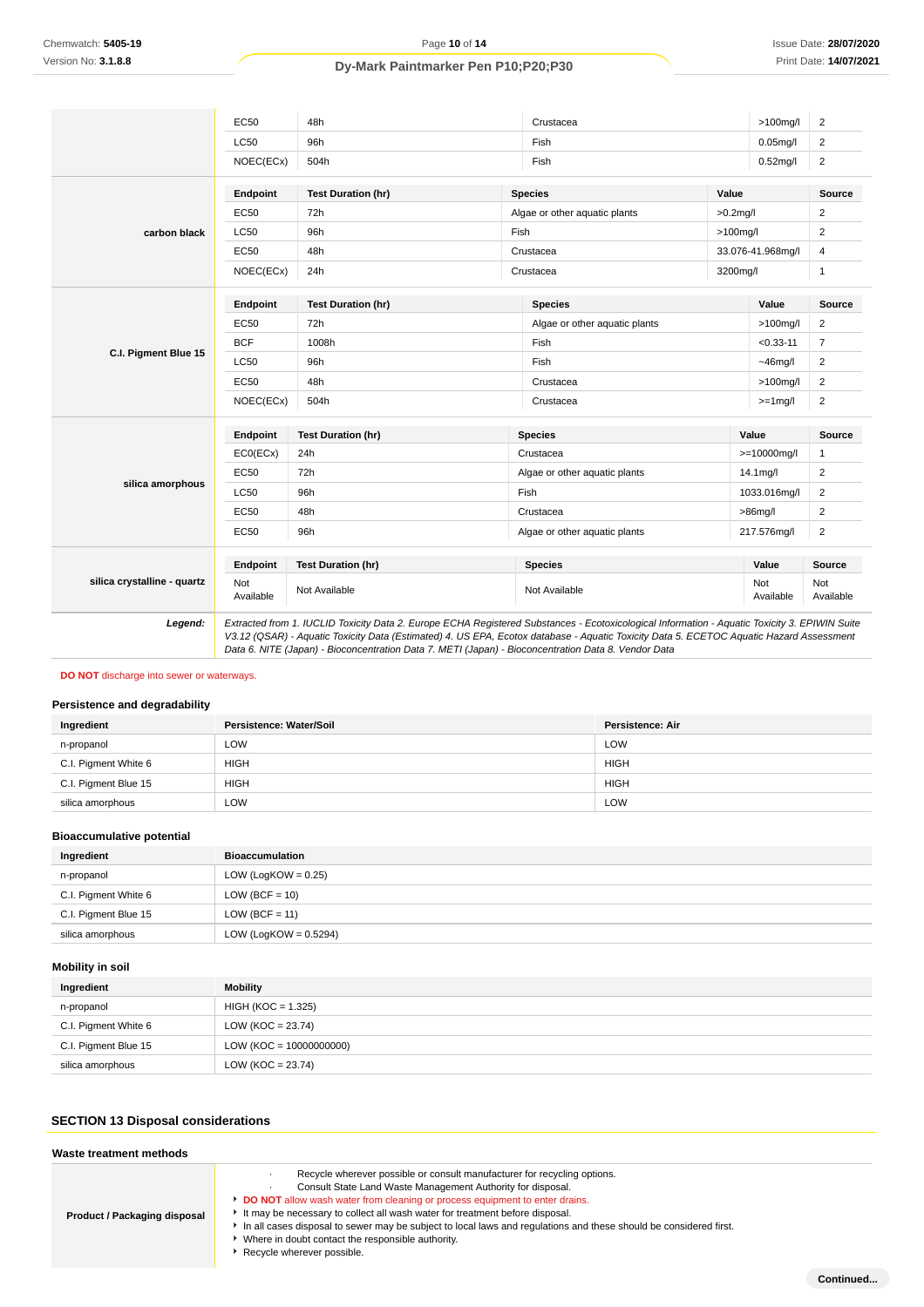|                             | <b>EC50</b>      | 48h                                                                                                                                                                                                                                                                                                                                                                                             |                               | Crustacea                     |             | $>100$ mg/l       | $\overline{2}$   |
|-----------------------------|------------------|-------------------------------------------------------------------------------------------------------------------------------------------------------------------------------------------------------------------------------------------------------------------------------------------------------------------------------------------------------------------------------------------------|-------------------------------|-------------------------------|-------------|-------------------|------------------|
|                             | <b>LC50</b>      | 96h                                                                                                                                                                                                                                                                                                                                                                                             |                               | Fish                          |             | $0.05$ mg/l       | $\overline{2}$   |
|                             | NOEC(ECx)        | 504h                                                                                                                                                                                                                                                                                                                                                                                            |                               | Fish                          |             | $0.52$ mg/l       | $\overline{2}$   |
|                             | Endpoint         | <b>Test Duration (hr)</b>                                                                                                                                                                                                                                                                                                                                                                       |                               | <b>Species</b>                | Value       |                   | Source           |
|                             | <b>EC50</b>      | 72h                                                                                                                                                                                                                                                                                                                                                                                             |                               | Algae or other aquatic plants | $>0.2$ mg/l |                   | $\overline{2}$   |
| carbon black                | <b>LC50</b>      | 96h                                                                                                                                                                                                                                                                                                                                                                                             | Fish                          |                               | $>100$ mg/l |                   | 2                |
|                             | EC50             | 48h                                                                                                                                                                                                                                                                                                                                                                                             |                               | Crustacea                     |             | 33.076-41.968mg/l | 4                |
|                             | NOEC(ECx)        | 24h                                                                                                                                                                                                                                                                                                                                                                                             |                               | Crustacea                     | 3200mg/l    |                   | $\mathbf{1}$     |
|                             | Endpoint         | <b>Test Duration (hr)</b>                                                                                                                                                                                                                                                                                                                                                                       |                               | <b>Species</b>                |             | Value             | Source           |
|                             | <b>EC50</b>      | 72h                                                                                                                                                                                                                                                                                                                                                                                             |                               | Algae or other aquatic plants |             | $>100$ mg/l       | $\overline{2}$   |
| C.I. Pigment Blue 15        | <b>BCF</b>       | 1008h                                                                                                                                                                                                                                                                                                                                                                                           |                               | Fish                          |             | $< 0.33 - 11$     | $\overline{7}$   |
|                             | <b>LC50</b>      | 96h                                                                                                                                                                                                                                                                                                                                                                                             |                               | Fish                          |             | $~16$ mg/l        | 2                |
|                             | <b>EC50</b>      | 48h                                                                                                                                                                                                                                                                                                                                                                                             | Crustacea                     |                               |             | $>100$ mg/l       | $\overline{2}$   |
|                             | NOEC(ECx)        | 504h                                                                                                                                                                                                                                                                                                                                                                                            |                               | Crustacea                     |             | $>=1$ mg/l        | $\overline{2}$   |
|                             | Endpoint         | <b>Test Duration (hr)</b>                                                                                                                                                                                                                                                                                                                                                                       |                               | <b>Species</b>                |             | Value             | <b>Source</b>    |
|                             | ECO(ECX)         | 24h                                                                                                                                                                                                                                                                                                                                                                                             | Crustacea                     |                               |             | $>=10000$ mg/l    | 1                |
|                             | <b>EC50</b>      | 72h                                                                                                                                                                                                                                                                                                                                                                                             | Algae or other aquatic plants |                               |             | 14.1mg/l          | 2                |
| silica amorphous            | <b>LC50</b>      | 96h                                                                                                                                                                                                                                                                                                                                                                                             |                               | Fish                          |             | 1033.016mg/l      | $\overline{2}$   |
|                             | <b>EC50</b>      | 48h                                                                                                                                                                                                                                                                                                                                                                                             |                               | Crustacea                     |             | $>86$ mg/l        | 2                |
|                             | <b>EC50</b>      | 96h                                                                                                                                                                                                                                                                                                                                                                                             |                               | Algae or other aquatic plants |             | 217.576mg/l       | $\overline{2}$   |
|                             | Endpoint         | <b>Test Duration (hr)</b>                                                                                                                                                                                                                                                                                                                                                                       |                               | <b>Species</b>                |             | Value             | Source           |
| silica crystalline - quartz | Not<br>Available | Not Available                                                                                                                                                                                                                                                                                                                                                                                   |                               | Not Available                 |             | Not<br>Available  | Not<br>Available |
| Legend:                     |                  | Extracted from 1. IUCLID Toxicity Data 2. Europe ECHA Registered Substances - Ecotoxicological Information - Aquatic Toxicity 3. EPIWIN Suite<br>V3.12 (QSAR) - Aquatic Toxicity Data (Estimated) 4. US EPA, Ecotox database - Aquatic Toxicity Data 5. ECETOC Aquatic Hazard Assessment<br>Data 6. NITE (Japan) - Bioconcentration Data 7. METI (Japan) - Bioconcentration Data 8. Vendor Data |                               |                               |             |                   |                  |

## **DO NOT** discharge into sewer or waterways.

# **Persistence and degradability**

| Ingredient           | Persistence: Water/Soil | Persistence: Air |
|----------------------|-------------------------|------------------|
| n-propanol           | LOW                     | LOW              |
| C.I. Pigment White 6 | <b>HIGH</b>             | <b>HIGH</b>      |
| C.I. Pigment Blue 15 | <b>HIGH</b>             | <b>HIGH</b>      |
| silica amorphous     | LOW                     | LOW              |

# **Bioaccumulative potential**

| Ingredient           | <b>Bioaccumulation</b>   |
|----------------------|--------------------------|
| n-propanol           | LOW (LogKOW = $0.25$ )   |
| C.I. Pigment White 6 | $LOW (BCF = 10)$         |
| C.I. Pigment Blue 15 | $LOW (BCF = 11)$         |
| silica amorphous     | LOW (LogKOW = $0.5294$ ) |

# **Mobility in soil**

| Ingredient           | Mobility                  |
|----------------------|---------------------------|
| n-propanol           | $HIGH (KOC = 1.325)$      |
| C.I. Pigment White 6 | LOW (KOC = $23.74$ )      |
| C.I. Pigment Blue 15 | $LOW (KOC = 10000000000)$ |
| silica amorphous     | LOW (KOC = $23.74$ )      |

# **SECTION 13 Disposal considerations**

| Waste treatment methods      |                                                                                                                                                                                                                                                                                                                                                                                                                                                                                                                     |
|------------------------------|---------------------------------------------------------------------------------------------------------------------------------------------------------------------------------------------------------------------------------------------------------------------------------------------------------------------------------------------------------------------------------------------------------------------------------------------------------------------------------------------------------------------|
| Product / Packaging disposal | Recycle wherever possible or consult manufacturer for recycling options.<br>Consult State Land Waste Management Authority for disposal.<br>DO NOT allow wash water from cleaning or process equipment to enter drains.<br>If It may be necessary to collect all wash water for treatment before disposal.<br>In all cases disposal to sewer may be subject to local laws and regulations and these should be considered first.<br>Where in doubt contact the responsible authority.<br>▶ Recycle wherever possible. |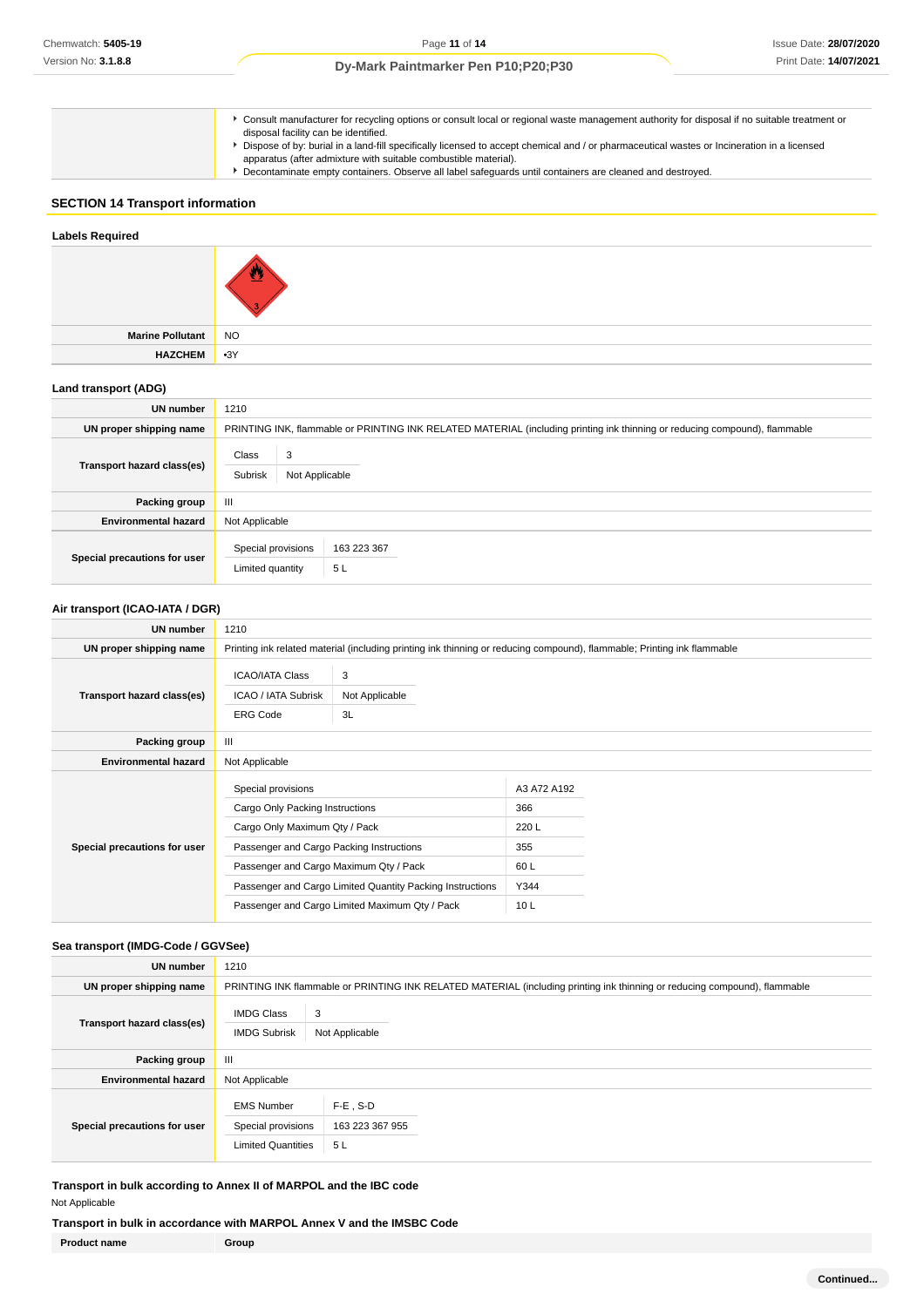Consult manufacturer for recycling options or consult local or regional waste management authority for disposal if no suitable treatment or disposal facility can be identified.

- Dispose of by: burial in a land-fill specifically licensed to accept chemical and / or pharmaceutical wastes or Incineration in a licensed
- apparatus (after admixture with suitable combustible material).
- Decontaminate empty containers. Observe all label safeguards until containers are cleaned and destroyed.

# **SECTION 14 Transport information**

# **Labels Required Marine Pollutant** NO **HAZCHEM** •3Y

## **Land transport (ADG)**

| <b>UN number</b>             | 1210                                                                                                                       |  |  |
|------------------------------|----------------------------------------------------------------------------------------------------------------------------|--|--|
| UN proper shipping name      | PRINTING INK, flammable or PRINTING INK RELATED MATERIAL (including printing ink thinning or reducing compound), flammable |  |  |
| Transport hazard class(es)   | Class<br>3<br>Subrisk<br>Not Applicable                                                                                    |  |  |
| Packing group                | $\mathbf{III}$                                                                                                             |  |  |
| <b>Environmental hazard</b>  | Not Applicable                                                                                                             |  |  |
| Special precautions for user | Special provisions<br>163 223 367<br>Limited quantity<br>5L                                                                |  |  |

## **Air transport (ICAO-IATA / DGR)**

| <b>UN number</b>             | 1210                                                                                                                                                                                                                                      |                                                                                                                         |                                                   |  |
|------------------------------|-------------------------------------------------------------------------------------------------------------------------------------------------------------------------------------------------------------------------------------------|-------------------------------------------------------------------------------------------------------------------------|---------------------------------------------------|--|
| UN proper shipping name      |                                                                                                                                                                                                                                           | Printing ink related material (including printing ink thinning or reducing compound), flammable; Printing ink flammable |                                                   |  |
| Transport hazard class(es)   | <b>ICAO/IATA Class</b><br>ICAO / IATA Subrisk<br><b>ERG Code</b>                                                                                                                                                                          | 3<br>Not Applicable<br>3L                                                                                               |                                                   |  |
| Packing group                | Ш                                                                                                                                                                                                                                         |                                                                                                                         |                                                   |  |
| <b>Environmental hazard</b>  | Not Applicable                                                                                                                                                                                                                            |                                                                                                                         |                                                   |  |
| Special precautions for user | Special provisions<br>Cargo Only Packing Instructions<br>Cargo Only Maximum Qty / Pack<br>Passenger and Cargo Packing Instructions<br>Passenger and Cargo Maximum Qty / Pack<br>Passenger and Cargo Limited Quantity Packing Instructions |                                                                                                                         | A3 A72 A192<br>366<br>220 L<br>355<br>60L<br>Y344 |  |
|                              | Passenger and Cargo Limited Maximum Qty / Pack                                                                                                                                                                                            |                                                                                                                         | 10 <sub>L</sub>                                   |  |

## **Sea transport (IMDG-Code / GGVSee)**

| UN number                    | 1210                                                                 |                                                                                                                           |  |
|------------------------------|----------------------------------------------------------------------|---------------------------------------------------------------------------------------------------------------------------|--|
| UN proper shipping name      |                                                                      | PRINTING INK flammable or PRINTING INK RELATED MATERIAL (including printing ink thinning or reducing compound), flammable |  |
| Transport hazard class(es)   | <b>IMDG Class</b><br>3<br><b>IMDG Subrisk</b>                        | Not Applicable                                                                                                            |  |
| Packing group                | Ш                                                                    |                                                                                                                           |  |
| <b>Environmental hazard</b>  | Not Applicable                                                       |                                                                                                                           |  |
| Special precautions for user | <b>EMS Number</b><br>Special provisions<br><b>Limited Quantities</b> | $F-E$ . S-D<br>163 223 367 955<br>5L                                                                                      |  |

**Transport in bulk according to Annex II of MARPOL and the IBC code** Not Applicable

## **Transport in bulk in accordance with MARPOL Annex V and the IMSBC Code**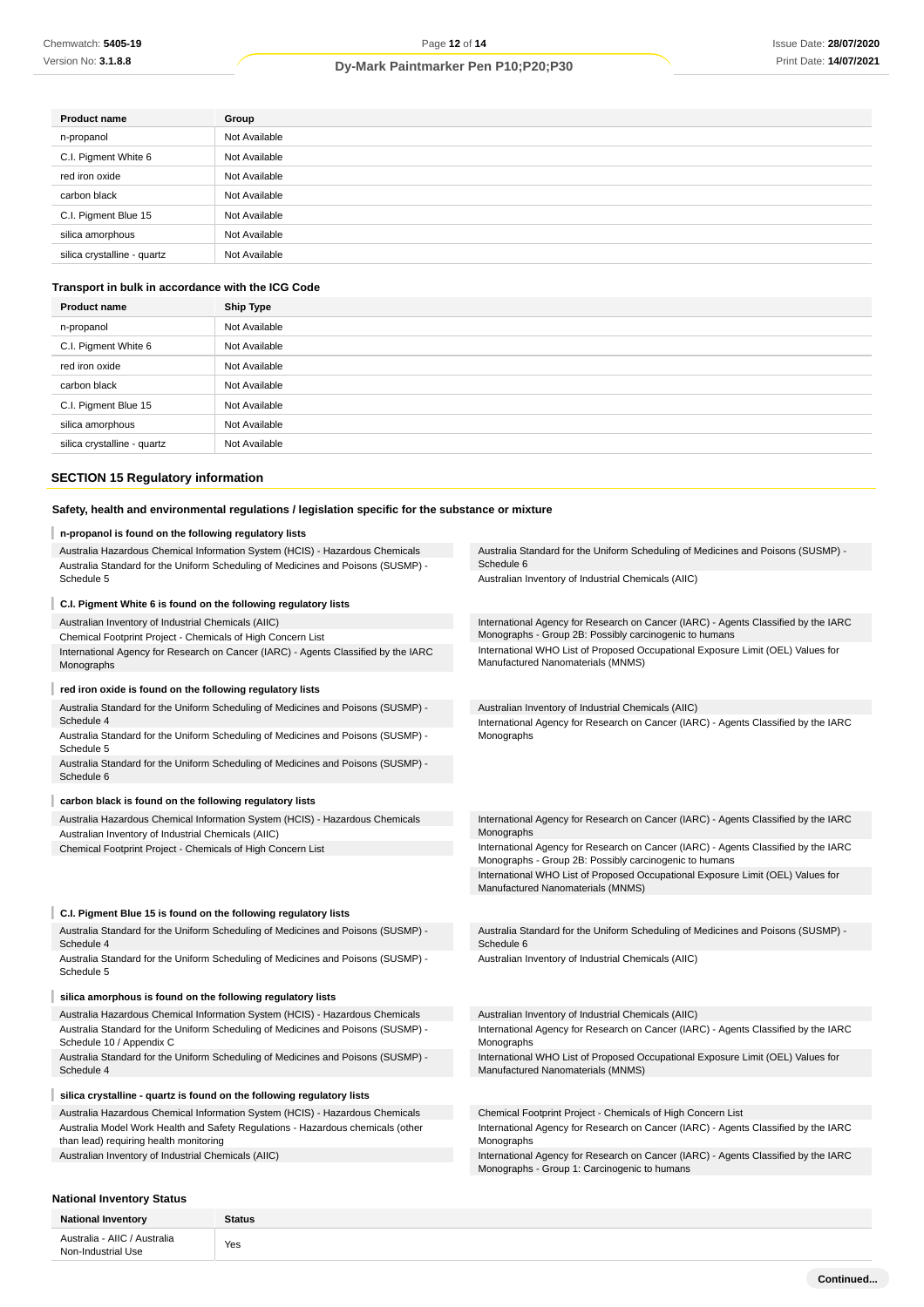| Group                           |  |
|---------------------------------|--|
| Not Available                   |  |
| Not Available                   |  |
| red iron oxide<br>Not Available |  |
| Not Available                   |  |
| Not Available                   |  |
| Not Available                   |  |
| Not Available                   |  |
|                                 |  |

# **Transport in bulk in accordance with the ICG Code**

| Not Available |
|---------------|
|               |
| Not Available |
| Not Available |
| Not Available |
| Not Available |
| Not Available |
| Not Available |
|               |

# **SECTION 15 Regulatory information**

# **Safety, health and environmental regulations / legislation specific for the substance or mixture**

|                                                                        | n-propanol is found on the following regulatory lists                                                                                                            |                                                                                                                                              |  |  |  |
|------------------------------------------------------------------------|------------------------------------------------------------------------------------------------------------------------------------------------------------------|----------------------------------------------------------------------------------------------------------------------------------------------|--|--|--|
|                                                                        | Australia Hazardous Chemical Information System (HCIS) - Hazardous Chemicals<br>Australia Standard for the Uniform Scheduling of Medicines and Poisons (SUSMP) - | Australia Standard for the Uniform Scheduling of Medicines and Poisons (SUSMP) -<br>Schedule 6                                               |  |  |  |
|                                                                        | Schedule 5                                                                                                                                                       | Australian Inventory of Industrial Chemicals (AIIC)                                                                                          |  |  |  |
|                                                                        | C.I. Pigment White 6 is found on the following regulatory lists                                                                                                  |                                                                                                                                              |  |  |  |
|                                                                        | Australian Inventory of Industrial Chemicals (AIIC)                                                                                                              | International Agency for Research on Cancer (IARC) - Agents Classified by the IARC                                                           |  |  |  |
|                                                                        | Chemical Footprint Project - Chemicals of High Concern List                                                                                                      | Monographs - Group 2B: Possibly carcinogenic to humans                                                                                       |  |  |  |
|                                                                        | International Agency for Research on Cancer (IARC) - Agents Classified by the IARC<br>Monographs                                                                 | International WHO List of Proposed Occupational Exposure Limit (OEL) Values for<br>Manufactured Nanomaterials (MNMS)                         |  |  |  |
|                                                                        | red iron oxide is found on the following regulatory lists                                                                                                        |                                                                                                                                              |  |  |  |
|                                                                        | Australia Standard for the Uniform Scheduling of Medicines and Poisons (SUSMP) -                                                                                 | Australian Inventory of Industrial Chemicals (AIIC)                                                                                          |  |  |  |
|                                                                        | Schedule 4                                                                                                                                                       | International Agency for Research on Cancer (IARC) - Agents Classified by the IARC                                                           |  |  |  |
|                                                                        | Australia Standard for the Uniform Scheduling of Medicines and Poisons (SUSMP) -<br>Schedule 5                                                                   | Monographs                                                                                                                                   |  |  |  |
|                                                                        | Australia Standard for the Uniform Scheduling of Medicines and Poisons (SUSMP) -<br>Schedule 6                                                                   |                                                                                                                                              |  |  |  |
|                                                                        | carbon black is found on the following regulatory lists                                                                                                          |                                                                                                                                              |  |  |  |
|                                                                        | Australia Hazardous Chemical Information System (HCIS) - Hazardous Chemicals                                                                                     | International Agency for Research on Cancer (IARC) - Agents Classified by the IARC                                                           |  |  |  |
|                                                                        | Australian Inventory of Industrial Chemicals (AIIC)                                                                                                              | Monographs                                                                                                                                   |  |  |  |
|                                                                        | Chemical Footprint Project - Chemicals of High Concern List                                                                                                      | International Agency for Research on Cancer (IARC) - Agents Classified by the IARC<br>Monographs - Group 2B: Possibly carcinogenic to humans |  |  |  |
|                                                                        |                                                                                                                                                                  | International WHO List of Proposed Occupational Exposure Limit (OEL) Values for<br>Manufactured Nanomaterials (MNMS)                         |  |  |  |
|                                                                        | C.I. Pigment Blue 15 is found on the following regulatory lists                                                                                                  |                                                                                                                                              |  |  |  |
|                                                                        | Australia Standard for the Uniform Scheduling of Medicines and Poisons (SUSMP) -<br>Schedule 4                                                                   | Australia Standard for the Uniform Scheduling of Medicines and Poisons (SUSMP) -<br>Schedule 6                                               |  |  |  |
|                                                                        | Australia Standard for the Uniform Scheduling of Medicines and Poisons (SUSMP) -<br>Schedule 5                                                                   | Australian Inventory of Industrial Chemicals (AIIC)                                                                                          |  |  |  |
|                                                                        | silica amorphous is found on the following regulatory lists                                                                                                      |                                                                                                                                              |  |  |  |
|                                                                        |                                                                                                                                                                  |                                                                                                                                              |  |  |  |
|                                                                        | Australia Hazardous Chemical Information System (HCIS) - Hazardous Chemicals<br>Australia Standard for the Uniform Scheduling of Medicines and Poisons (SUSMP) - | Australian Inventory of Industrial Chemicals (AIIC)<br>International Agency for Research on Cancer (IARC) - Agents Classified by the IARC    |  |  |  |
|                                                                        | Schedule 10 / Appendix C                                                                                                                                         | Monographs                                                                                                                                   |  |  |  |
|                                                                        | Australia Standard for the Uniform Scheduling of Medicines and Poisons (SUSMP) -<br>Schedule 4                                                                   | International WHO List of Proposed Occupational Exposure Limit (OEL) Values for<br>Manufactured Nanomaterials (MNMS)                         |  |  |  |
| silica crystalline - quartz is found on the following regulatory lists |                                                                                                                                                                  |                                                                                                                                              |  |  |  |
|                                                                        | Australia Hazardous Chemical Information System (HCIS) - Hazardous Chemicals                                                                                     | Chemical Footprint Project - Chemicals of High Concern List                                                                                  |  |  |  |
|                                                                        | Australia Model Work Health and Safety Regulations - Hazardous chemicals (other<br>than lead) requiring health monitoring                                        | International Agency for Research on Cancer (IARC) - Agents Classified by the IARC<br>Monographs                                             |  |  |  |
|                                                                        | Australian Inventory of Industrial Chemicals (AIIC)                                                                                                              | International Agency for Research on Cancer (IARC) - Agents Classified by the IARC<br>Monographs - Group 1: Carcinogenic to humans           |  |  |  |
|                                                                        |                                                                                                                                                                  |                                                                                                                                              |  |  |  |

# **National Inventory Status**

| <b>National Inventory</b>                          | <b>Status</b> |
|----------------------------------------------------|---------------|
| Australia - AIIC / Australia<br>Non-Industrial Use | Yes           |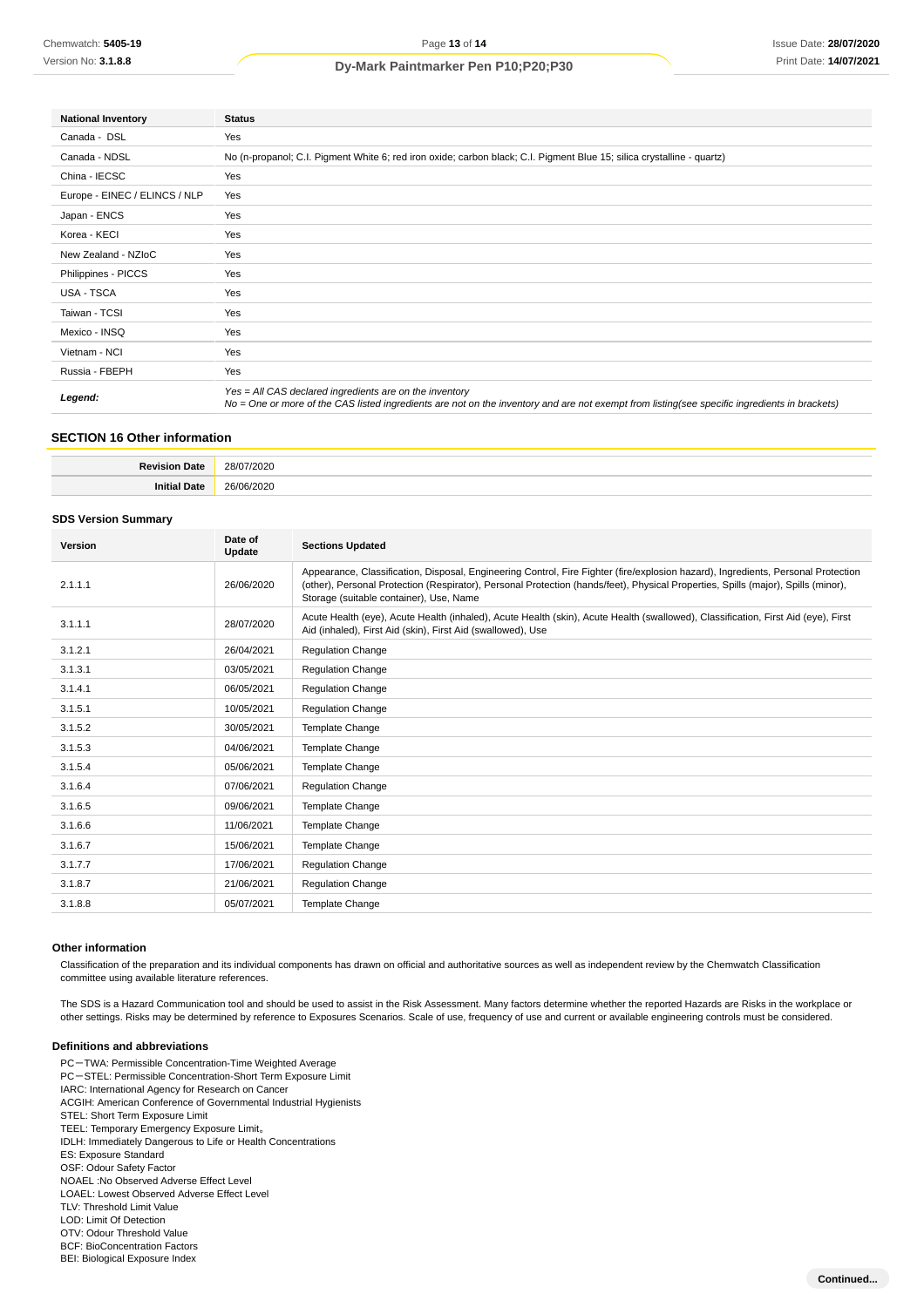| <b>National Inventory</b>            | <b>Status</b>                                                                                                                                                                                            |  |  |
|--------------------------------------|----------------------------------------------------------------------------------------------------------------------------------------------------------------------------------------------------------|--|--|
| Canada - DSL                         | Yes                                                                                                                                                                                                      |  |  |
| Canada - NDSL                        | No (n-propanol; C.I. Pigment White 6; red iron oxide; carbon black; C.I. Pigment Blue 15; silica crystalline - quartz)                                                                                   |  |  |
| China - IECSC                        | Yes                                                                                                                                                                                                      |  |  |
| Europe - EINEC / ELINCS / NLP<br>Yes |                                                                                                                                                                                                          |  |  |
| Japan - ENCS                         | Yes                                                                                                                                                                                                      |  |  |
| Korea - KECI                         | Yes                                                                                                                                                                                                      |  |  |
| New Zealand - NZIoC                  | Yes                                                                                                                                                                                                      |  |  |
| Philippines - PICCS                  | Yes                                                                                                                                                                                                      |  |  |
| USA - TSCA                           | Yes                                                                                                                                                                                                      |  |  |
| Taiwan - TCSI                        | Yes                                                                                                                                                                                                      |  |  |
| Mexico - INSQ                        | Yes                                                                                                                                                                                                      |  |  |
| Vietnam - NCI                        | Yes                                                                                                                                                                                                      |  |  |
| Russia - FBEPH                       | Yes                                                                                                                                                                                                      |  |  |
| Legend:                              | Yes = All CAS declared ingredients are on the inventory<br>No = One or more of the CAS listed ingredients are not on the inventory and are not exempt from listing(see specific ingredients in brackets) |  |  |

# **SECTION 16 Other information**

| ٦afe<br><b>Rev</b><br>'Jalu<br>.                                                                                                     | 28/0.7<br>/2020<br>.                |
|--------------------------------------------------------------------------------------------------------------------------------------|-------------------------------------|
| <b>JOHA</b><br>αц<br>the contract of the contract of the contract of the contract of the contract of the contract of the contract of | $\sim$<br>ാറാല<br><b>JEINE</b><br>. |

## **SDS Version Summary**

| Version | Date of<br>Update | <b>Sections Updated</b>                                                                                                                                                                                                                                                                                           |
|---------|-------------------|-------------------------------------------------------------------------------------------------------------------------------------------------------------------------------------------------------------------------------------------------------------------------------------------------------------------|
| 2.1.1.1 | 26/06/2020        | Appearance, Classification, Disposal, Engineering Control, Fire Fighter (fire/explosion hazard), Ingredients, Personal Protection<br>(other), Personal Protection (Respirator), Personal Protection (hands/feet), Physical Properties, Spills (major), Spills (minor),<br>Storage (suitable container), Use, Name |
| 3.1.1.1 | 28/07/2020        | Acute Health (eye), Acute Health (inhaled), Acute Health (skin), Acute Health (swallowed), Classification, First Aid (eye), First<br>Aid (inhaled), First Aid (skin), First Aid (swallowed), Use                                                                                                                  |
| 3.1.2.1 | 26/04/2021        | <b>Regulation Change</b>                                                                                                                                                                                                                                                                                          |
| 3.1.3.1 | 03/05/2021        | <b>Regulation Change</b>                                                                                                                                                                                                                                                                                          |
| 3.1.4.1 | 06/05/2021        | <b>Regulation Change</b>                                                                                                                                                                                                                                                                                          |
| 3.1.5.1 | 10/05/2021        | <b>Regulation Change</b>                                                                                                                                                                                                                                                                                          |
| 3.1.5.2 | 30/05/2021        | Template Change                                                                                                                                                                                                                                                                                                   |
| 3.1.5.3 | 04/06/2021        | Template Change                                                                                                                                                                                                                                                                                                   |
| 3.1.5.4 | 05/06/2021        | Template Change                                                                                                                                                                                                                                                                                                   |
| 3.1.6.4 | 07/06/2021        | <b>Regulation Change</b>                                                                                                                                                                                                                                                                                          |
| 3.1.6.5 | 09/06/2021        | Template Change                                                                                                                                                                                                                                                                                                   |
| 3.1.6.6 | 11/06/2021        | <b>Template Change</b>                                                                                                                                                                                                                                                                                            |
| 3.1.6.7 | 15/06/2021        | <b>Template Change</b>                                                                                                                                                                                                                                                                                            |
| 3.1.7.7 | 17/06/2021        | <b>Regulation Change</b>                                                                                                                                                                                                                                                                                          |
| 3.1.8.7 | 21/06/2021        | <b>Regulation Change</b>                                                                                                                                                                                                                                                                                          |
| 3.1.8.8 | 05/07/2021        | <b>Template Change</b>                                                                                                                                                                                                                                                                                            |

#### **Other information**

Classification of the preparation and its individual components has drawn on official and authoritative sources as well as independent review by the Chemwatch Classification committee using available literature references.

The SDS is a Hazard Communication tool and should be used to assist in the Risk Assessment. Many factors determine whether the reported Hazards are Risks in the workplace or other settings. Risks may be determined by reference to Exposures Scenarios. Scale of use, frequency of use and current or available engineering controls must be considered.

#### **Definitions and abbreviations**

- PC-TWA: Permissible Concentration-Time Weighted Average PC-STEL: Permissible Concentration-Short Term Exposure Limit IARC: International Agency for Research on Cancer ACGIH: American Conference of Governmental Industrial Hygienists STEL: Short Term Exposure Limit TEEL: Temporary Emergency Exposure Limit。 IDLH: Immediately Dangerous to Life or Health Concentrations ES: Exposure Standard OSF: Odour Safety Factor NOAEL :No Observed Adverse Effect Level LOAEL: Lowest Observed Adverse Effect Level TLV: Threshold Limit Value LOD: Limit Of Detection OTV: Odour Threshold Value BCF: BioConcentration Factors
- BEI: Biological Exposure Index